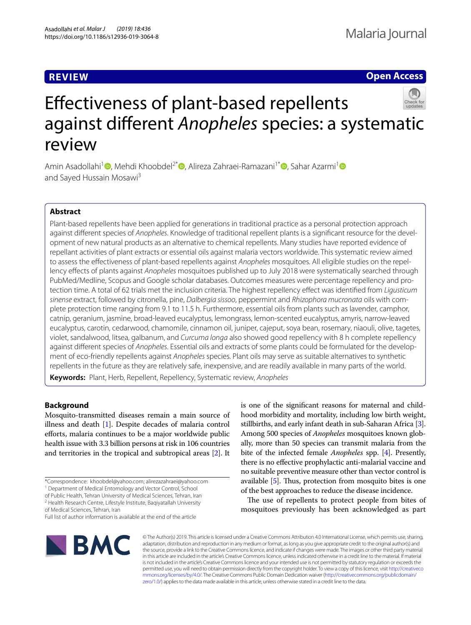# **REVIEW**

# **Open Access**



# Efectiveness of plant-based repellents against diferent *Anopheles* species: a systematic review

Amin Asadollahi<sup>[1](http://orcid.org/0000-0002-3527-981X)</sup> , Mehdi Khoobdel<sup>2[\\*](http://orcid.org/0000-0001-7820-3586)</sup> , Alireza Zahraei-Ramazani<sup>1\*</sup> , Sahar Azarmi<sup>1</sup> , O and Sayed Hussain Mosawi<sup>3</sup>

# **Abstract**

Plant-based repellents have been applied for generations in traditional practice as a personal protection approach against different species of *Anopheles*. Knowledge of traditional repellent plants is a significant resource for the development of new natural products as an alternative to chemical repellents. Many studies have reported evidence of repellant activities of plant extracts or essential oils against malaria vectors worldwide. This systematic review aimed to assess the effectiveness of plant-based repellents against *Anopheles* mosquitoes. All eligible studies on the repellency efects of plants against *Anopheles* mosquitoes published up to July 2018 were systematically searched through PubMed/Medline, Scopus and Google scholar databases. Outcomes measures were percentage repellency and protection time. A total of 62 trials met the inclusion criteria. The highest repellency efect was identifed from *Ligusticum sinense* extract, followed by citronella, pine, *Dalbergia sissoo*, peppermint and *Rhizophora mucronata* oils with com‑ plete protection time ranging from 9.1 to 11.5 h. Furthermore, essential oils from plants such as lavender, camphor, catnip, geranium, jasmine, broad-leaved eucalyptus, lemongrass, lemon-scented eucalyptus, amyris, narrow-leaved eucalyptus, carotin, cedarwood, chamomile, cinnamon oil, juniper, cajeput, soya bean, rosemary, niaouli, olive, tagetes, violet, sandalwood, litsea, galbanum, and *Curcuma longa* also showed good repellency with 8 h complete repellency against different species of Anopheles. Essential oils and extracts of some plants could be formulated for the development of eco-friendly repellents against *Anopheles* species. Plant oils may serve as suitable alternatives to synthetic repellents in the future as they are relatively safe, inexpensive, and are readily available in many parts of the world.

**Keywords:** Plant, Herb, Repellent, Repellency, Systematic review, *Anopheles*

## **Background**

Mosquito-transmitted diseases remain a main source of illness and death [[1\]](#page-17-0). Despite decades of malaria control efforts, malaria continues to be a major worldwide public health issue with 3.3 billion persons at risk in 106 countries and territories in the tropical and subtropical areas [\[2\]](#page-17-1). It

of Public Health, Tehran University of Medical Sciences, Tehran, Iran

<sup>2</sup> Health Research Centre, Lifestyle Institute, Baqiyatallah University of Medical Sciences, Tehran, Iran

is one of the signifcant reasons for maternal and childhood morbidity and mortality, including low birth weight, stillbirths, and early infant death in sub-Saharan Africa [\[3](#page-17-2)]. Among 500 species of *Anopheles* mosquitoes known globally, more than 50 species can transmit malaria from the bite of the infected female *Anopheles* spp. [\[4\]](#page-17-3). Presently, there is no efective prophylactic anti-malarial vaccine and no suitable preventive measure other than vector control is available  $[5]$  $[5]$ . Thus, protection from mosquito bites is one of the best approaches to reduce the disease incidence.

The use of repellents to protect people from bites of mosquitoes previously has been acknowledged as part



© The Author(s) 2019. This article is licensed under a Creative Commons Attribution 4.0 International License, which permits use, sharing, adaptation, distribution and reproduction in any medium or format, as long as you give appropriate credit to the original author(s) and the source, provide a link to the Creative Commons licence, and indicate if changes were made. The images or other third party material in this article are included in the article's Creative Commons licence, unless indicated otherwise in a credit line to the material. If material is not included in the article's Creative Commons licence and your intended use is not permitted by statutory regulation or exceeds the permitted use, you will need to obtain permission directly from the copyright holder. To view a copy of this licence, visit [http://creativeco](http://creativecommons.org/licenses/by/4.0/) [mmons.org/licenses/by/4.0/.](http://creativecommons.org/licenses/by/4.0/) The Creative Commons Public Domain Dedication waiver ([http://creativecommons.org/publicdomain/](http://creativecommons.org/publicdomain/zero/1.0/) [zero/1.0/\)](http://creativecommons.org/publicdomain/zero/1.0/) applies to the data made available in this article, unless otherwise stated in a credit line to the data.

<sup>\*</sup>Correspondence: khoobdel@yahoo.com; alirezazahraei@yahoo.com <sup>1</sup> Department of Medical Entomology and Vector Control, School

Full list of author information is available at the end of the article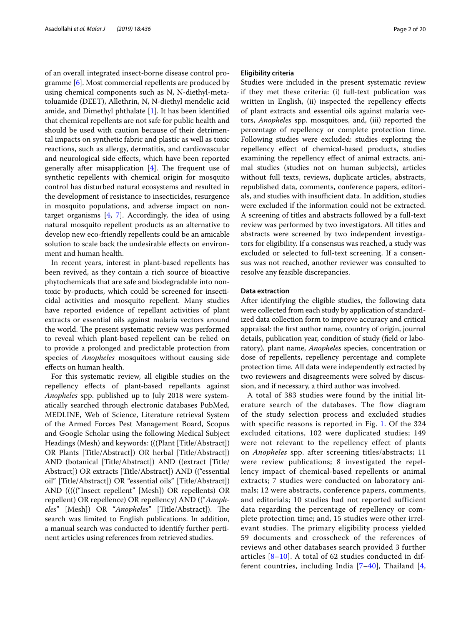of an overall integrated insect-borne disease control programme [\[6\]](#page-17-5). Most commercial repellents are produced by using chemical components such as N, N-diethyl-metatoluamide (DEET), Allethrin, N, N-diethyl mendelic acid amide, and Dimethyl phthalate [\[1](#page-17-0)]. It has been identifed that chemical repellents are not safe for public health and should be used with caution because of their detrimental impacts on synthetic fabric and plastic as well as toxic reactions, such as allergy, dermatitis, and cardiovascular and neurological side efects, which have been reported generally after misapplication  $[4]$  $[4]$ . The frequent use of synthetic repellents with chemical origin for mosquito control has disturbed natural ecosystems and resulted in the development of resistance to insecticides, resurgence in mosquito populations, and adverse impact on nontarget organisms [[4,](#page-17-3) [7](#page-17-6)]. Accordingly, the idea of using natural mosquito repellent products as an alternative to develop new eco-friendly repellents could be an amicable solution to scale back the undesirable effects on environment and human health.

In recent years, interest in plant-based repellents has been revived, as they contain a rich source of bioactive phytochemicals that are safe and biodegradable into nontoxic by-products, which could be screened for insecticidal activities and mosquito repellent. Many studies have reported evidence of repellant activities of plant extracts or essential oils against malaria vectors around the world. The present systematic review was performed to reveal which plant-based repellent can be relied on to provide a prolonged and predictable protection from species of *Anopheles* mosquitoes without causing side efects on human health.

For this systematic review, all eligible studies on the repellency efects of plant-based repellants against *Anopheles* spp. published up to July 2018 were systematically searched through electronic databases PubMed, MEDLINE, Web of Science, Literature retrieval System of the Armed Forces Pest Management Board, Scopus and Google Scholar using the following Medical Subject Headings (Mesh) and keywords: (((Plant [Title/Abstract]) OR Plants [Title/Abstract]) OR herbal [Title/Abstract]) AND (botanical [Title/Abstract]) AND ((extract [Title/ Abstract]) OR extracts [Title/Abstract]) AND (("essential oil" [Title/Abstract]) OR "essential oils" [Title/Abstract]) AND ((((("Insect repellent" [Mesh]) OR repellents) OR repellent) OR repellence) OR repellency) AND (("*Anopheles*" [Mesh]) OR "Anopheles" [Title/Abstract]). The search was limited to English publications. In addition, a manual search was conducted to identify further pertinent articles using references from retrieved studies.

#### **Eligibility criteria**

Studies were included in the present systematic review if they met these criteria: (i) full-text publication was written in English, (ii) inspected the repellency effects of plant extracts and essential oils against malaria vectors, *Anopheles* spp. mosquitoes, and, (iii) reported the percentage of repellency or complete protection time. Following studies were excluded: studies exploring the repellency efect of chemical-based products, studies examining the repellency efect of animal extracts, animal studies (studies not on human subjects), articles without full texts, reviews, duplicate articles, abstracts, republished data, comments, conference papers, editorials, and studies with insufficient data. In addition, studies were excluded if the information could not be extracted. A screening of titles and abstracts followed by a full-text review was performed by two investigators. All titles and abstracts were screened by two independent investigators for eligibility. If a consensus was reached, a study was excluded or selected to full-text screening. If a consensus was not reached, another reviewer was consulted to resolve any feasible discrepancies.

## **Data extraction**

After identifying the eligible studies, the following data were collected from each study by application of standardized data collection form to improve accuracy and critical appraisal: the frst author name, country of origin, journal details, publication year, condition of study (feld or laboratory), plant name, *Anopheles* species, concentration or dose of repellents, repellency percentage and complete protection time. All data were independently extracted by two reviewers and disagreements were solved by discussion, and if necessary, a third author was involved.

A total of 383 studies were found by the initial literature search of the databases. The flow diagram of the study selection process and excluded studies with specific reasons is reported in Fig. [1](#page-2-0). Of the 324 excluded citations, 102 were duplicated studies; 149 were not relevant to the repellency effect of plants on *Anopheles* spp. after screening titles/abstracts; 11 were review publications; 8 investigated the repellency impact of chemical-based repellents or animal extracts; 7 studies were conducted on laboratory animals; 12 were abstracts, conference papers, comments, and editorials; 10 studies had not reported sufficient data regarding the percentage of repellency or complete protection time; and, 15 studies were other irrelevant studies. The primary eligibility process yielded 59 documents and crosscheck of the references of reviews and other databases search provided 3 further articles  $[8-10]$  $[8-10]$  $[8-10]$ . A total of 62 studies conducted in different countries, including India [\[7](#page-17-6)–[40\]](#page-18-0), Thailand [\[4](#page-17-3),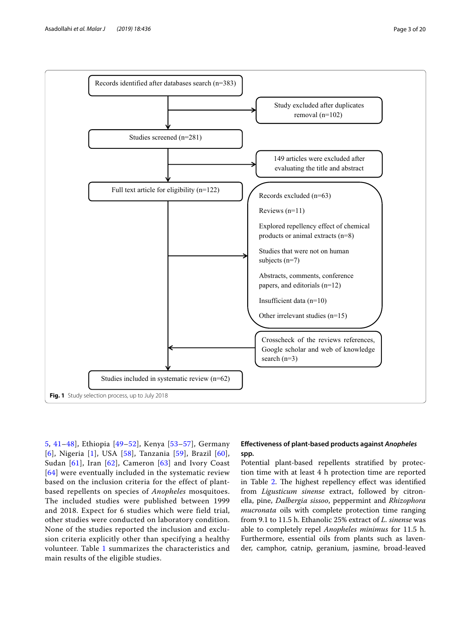

<span id="page-2-0"></span>[5,](#page-17-4) [41–](#page-18-1)[48](#page-18-2)], Ethiopia [[49](#page-18-3)–[52\]](#page-18-4), Kenya [\[53](#page-18-5)–[57\]](#page-18-6), Germany [[6](#page-17-5)], Nigeria [[1](#page-17-0)], USA [[58](#page-18-7)], Tanzania [\[59](#page-18-8)], Brazil [[60\]](#page-18-9), Sudan [[61\]](#page-19-0), Iran [[62\]](#page-19-1), Cameron [[63\]](#page-19-2) and Ivory Coast [[64](#page-19-3)] were eventually included in the systematic review based on the inclusion criteria for the effect of plantbased repellents on species of *Anopheles* mosquitoes. The included studies were published between 1999 and 2018. Expect for 6 studies which were field trial, other studies were conducted on laboratory condition. None of the studies reported the inclusion and exclusion criteria explicitly other than specifying a healthy volunteer. Table [1](#page-3-0) summarizes the characteristics and main results of the eligible studies.

# **Efectiveness of plant‑based products against** *Anopheles* **spp.**

Potential plant-based repellents stratifed by protection time with at least 4 h protection time are reported in Table [2](#page-13-0). The highest repellency effect was identified from *Ligusticum sinense* extract, followed by citronella, pine, *Dalbergia sissoo*, peppermint and *Rhizophora mucronata* oils with complete protection time ranging from 9.1 to 11.5 h. Ethanolic 25% extract of *L. sinense* was able to completely repel *Anopheles minimus* for 11.5 h. Furthermore, essential oils from plants such as lavender, camphor, catnip, geranium, jasmine, broad-leaved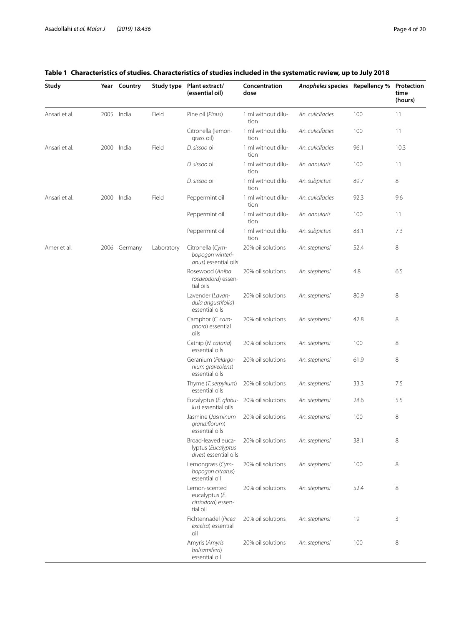| Study         |      | Year Country |            | Study type Plant extract/<br>(essential oil)                      | Concentration<br>dose      | Anopheles species Repellency % |      | Protection<br>time<br>(hours) |
|---------------|------|--------------|------------|-------------------------------------------------------------------|----------------------------|--------------------------------|------|-------------------------------|
| Ansari et al. |      | 2005 India   | Field      | Pine oil (Pinus)                                                  | 1 ml without dilu-<br>tion | An. culicifacies               | 100  | 11                            |
|               |      |              |            | Citronella (lemon-<br>grass oil)                                  | 1 ml without dilu-<br>tion | An. culicifacies               | 100  | 11                            |
| Ansari et al. | 2000 | India        | Field      | D. sissoo oil                                                     | 1 ml without dilu-<br>tion | An. culicifacies               | 96.1 | 10.3                          |
|               |      |              |            | D. sissoo oil                                                     | 1 ml without dilu-<br>tion | An. annularis                  | 100  | 11                            |
|               |      |              |            | D. sissoo oil                                                     | 1 ml without dilu-<br>tion | An. subpictus                  | 89.7 | 8                             |
| Ansari et al. |      | 2000 India   | Field      | Peppermint oil                                                    | 1 ml without dilu-<br>tion | An. culicifacies               | 92.3 | 9.6                           |
|               |      |              |            | Peppermint oil                                                    | 1 ml without dilu-<br>tion | An. annularis                  | 100  | 11                            |
|               |      |              |            | Peppermint oil                                                    | 1 ml without dilu-<br>tion | An. subpictus                  | 83.1 | 7.3                           |
| Amer et al.   |      | 2006 Germany | Laboratory | Citronella (Cym-<br>bopogon winteri-<br>anus) essential oils      | 20% oil solutions          | An. stephensi                  | 52.4 | 8                             |
|               |      |              |            | Rosewood (Aniba<br>rosaeodora) essen-<br>tial oils                | 20% oil solutions          | An. stephensi                  | 4.8  | 6.5                           |
|               |      |              |            | Lavender (Lavan-<br>dula angustifolia)<br>essential oils          | 20% oil solutions          | An. stephensi                  | 80.9 | 8                             |
|               |      |              |            | Camphor (C. cam-<br>phora) essential<br>oils                      | 20% oil solutions          | An. stephensi                  | 42.8 | 8                             |
|               |      |              |            | Catnip (N. cataria)<br>essential oils                             | 20% oil solutions          | An. stephensi                  | 100  | 8                             |
|               |      |              |            | Geranium (Pelargo-<br>nium graveolens)<br>essential oils          | 20% oil solutions          | An. stephensi                  | 61.9 | 8                             |
|               |      |              |            | Thyme (T. serpyllum)<br>essential oils                            | 20% oil solutions          | An. stephensi                  | 33.3 | 7.5                           |
|               |      |              |            | Eucalyptus (E. globu-<br>lus) essential oils                      | 20% oil solutions          | An. stephensi                  | 28.6 | 5.5                           |
|               |      |              |            | Jasmine (Jasminum<br><i>grandiflorum</i> )<br>essential oils      | 20% oil solutions          | An. stephensi                  | 100  | 8                             |
|               |      |              |            | Broad-leaved euca-<br>lyptus (Eucalyptus<br>dives) essential oils | 20% oil solutions          | An. stephensi                  | 38.1 | 8                             |
|               |      |              |            | Lemongrass (Cym-<br>bopogon citratus)<br>essential oil            | 20% oil solutions          | An. stephensi                  | 100  | 8                             |
|               |      |              |            | Lemon-scented<br>eucalyptus (E.<br>citriodora) essen-<br>tial oil | 20% oil solutions          | An. stephensi                  | 52.4 | 8                             |
|               |      |              |            | Fichtennadel (Picea<br>excelsa) essential<br>oil                  | 20% oil solutions          | An. stephensi                  | 19   | 3                             |
|               |      |              |            | Amyris (Amyris<br>balsamifera)                                    | 20% oil solutions          | An. stephensi                  | 100  | 8                             |

essential oil

# <span id="page-3-0"></span>**Table 1 Characteristics of studies. Characteristics of studies included in the systematic review, up to July 2018**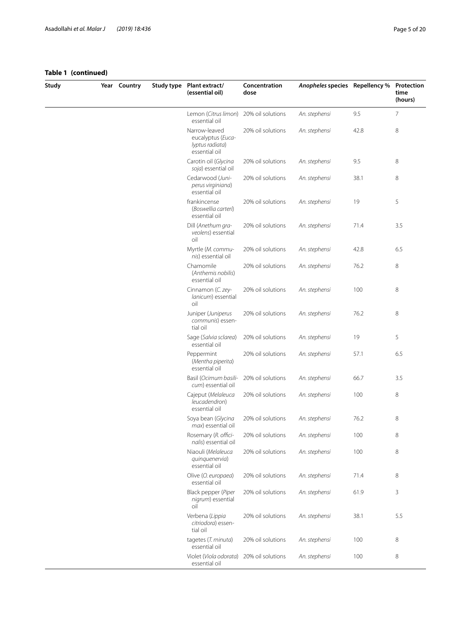| Study | Year Country | Study type Plant extract/<br>(essential oil)                           | Concentration<br>dose | Anopheles species Repellency % |      | Protection<br>time<br>(hours) |
|-------|--------------|------------------------------------------------------------------------|-----------------------|--------------------------------|------|-------------------------------|
|       |              | Lemon (Citrus limon)<br>essential oil                                  | 20% oil solutions     | An. stephensi                  | 9.5  | $\overline{7}$                |
|       |              | Narrow-leaved<br>eucalyptus (Euca-<br>lyptus radiata)<br>essential oil | 20% oil solutions     | An. stephensi                  | 42.8 | 8                             |
|       |              | Carotin oil (Glycina<br>soja) essential oil                            | 20% oil solutions     | An. stephensi                  | 9.5  | 8                             |
|       |              | Cedarwood (Juni-<br>perus virginiana)<br>essential oil                 | 20% oil solutions     | An. stephensi                  | 38.1 | 8                             |
|       |              | frankincense<br>(Boswellia carteri)<br>essential oil                   | 20% oil solutions     | An. stephensi                  | 19   | 5                             |
|       |              | Dill (Anethum gra-<br>veolens) essential<br>oil                        | 20% oil solutions     | An. stephensi                  | 71.4 | 3.5                           |
|       |              | Myrtle (M. commu-<br>nis) essential oil                                | 20% oil solutions     | An. stephensi                  | 42.8 | 6.5                           |
|       |              | Chamomile<br>(Anthemis nobilis)<br>essential oil                       | 20% oil solutions     | An. stephensi                  | 76.2 | 8                             |
|       |              | Cinnamon (C. zey-<br>lanicum) essential<br>oil                         | 20% oil solutions     | An. stephensi                  | 100  | 8                             |
|       |              | Juniper (Juniperus<br>communis) essen-<br>tial oil                     | 20% oil solutions     | An. stephensi                  | 76.2 | 8                             |
|       |              | Sage (Salvia sclarea)<br>essential oil                                 | 20% oil solutions     | An. stephensi                  | 19   | 5                             |
|       |              | Peppermint<br>(Mentha piperita)<br>essential oil                       | 20% oil solutions     | An. stephensi                  | 57.1 | 6.5                           |
|       |              | Basil (Ocimum basili-<br>cum) essential oil                            | 20% oil solutions     | An. stephensi                  | 66.7 | 3.5                           |
|       |              | Cajeput (Melaleuca<br>leucadendron)<br>essential oil                   | 20% oil solutions     | An. stephensi                  | 100  | 8                             |
|       |              | Soya bean (Glycina<br>max) essential oil                               | 20% oil solutions     | An. stephensi                  | 76.2 | 8                             |
|       |              | Rosemary (R. offici-<br>nalis) essential oil                           | 20% oil solutions     | An. stephensi                  | 100  | 8                             |
|       |              | Niaouli (Melaleuca<br>quinquenervia)<br>essential oil                  | 20% oil solutions     | An. stephensi                  | 100  | 8                             |
|       |              | Olive (O. europaea)<br>essential oil                                   | 20% oil solutions     | An. stephensi                  | 71.4 | 8                             |
|       |              | Black pepper (Piper<br>nigrum) essential<br>oil                        | 20% oil solutions     | An. stephensi                  | 61.9 | 3                             |
|       |              | Verbena (Lippia<br>citriodora) essen-<br>tial oil                      | 20% oil solutions     | An. stephensi                  | 38.1 | 5.5                           |
|       |              | tagetes (T. minuta)<br>essential oil                                   | 20% oil solutions     | An. stephensi                  | 100  | 8                             |
|       |              | Violet (Viola odorata)<br>essential oil                                | 20% oil solutions     | An. stephensi                  | 100  | 8                             |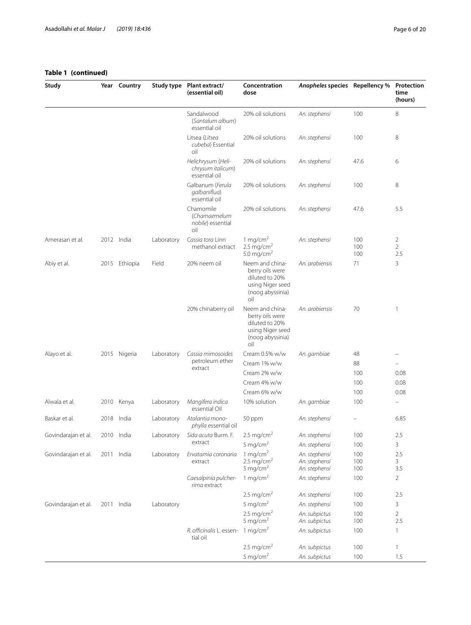| Study               | Year Country  |            | Study type Plant extract/<br>(essential oil)             | Concentration<br>dose                                                                               | Anopheles species Repellency % |                   | Protection<br>time<br>(hours) |
|---------------------|---------------|------------|----------------------------------------------------------|-----------------------------------------------------------------------------------------------------|--------------------------------|-------------------|-------------------------------|
|                     |               |            | Sandalwood<br>(Santalum album)<br>essential oil          | 20% oil solutions                                                                                   | An. stephensi                  | 100               | 8                             |
|                     |               |            | Litsea (Litsea<br>cubeba) Essential<br>oil               | 20% oil solutions                                                                                   | An. stephensi                  | 100               | 8                             |
|                     |               |            | Helichrysum (Heli-<br>chrysum italicum)<br>essential oil | 20% oil solutions                                                                                   | An. stephensi                  | 47.6              | 6                             |
|                     |               |            | Galbanum (Ferula<br>qalbaniflua)<br>essential oil        | 20% oil solutions                                                                                   | An. stephensi                  | 100               | 8                             |
|                     |               |            | Chamomile<br>(Chamaemelum<br>nobile) essential<br>oil    | 20% oil solutions                                                                                   | An. stephensi                  | 47.6              | 5.5                           |
| Amerasan et al.     | 2012 India    | Laboratory | Cassia tora Linn<br>methanol extract                     | 1 mg/cm $^2$<br>2.5 mg/cm <sup>2</sup><br>5.0 mg/cm <sup>2</sup>                                    | An. stephensi                  | 100<br>100<br>100 | 2<br>$\overline{2}$<br>2.5    |
| Abiy et al.         | 2015 Ethiopia | Field      | 20% neem oil                                             | Neem and china-<br>berry oils were<br>diluted to 20%<br>using Niger seed<br>(noog abyssinia)<br>oil | An. arabiensis                 | 71                | 3                             |
|                     |               |            | 20% chinaberry oil                                       | Neem and china-<br>berry oils were<br>diluted to 20%<br>using Niger seed<br>(noog abyssinia)<br>oil | An. arabiensis                 | 70                | 1                             |
| Alayo et al.        | 2015 Nigeria  | Laboratory | Cassia mimosoides                                        | Cream 0.5% w/w                                                                                      | An. gambiae                    | 48                | $\overline{\phantom{0}}$      |
|                     |               |            | petroleum ether<br>extract                               | Cream 1% w/w                                                                                        |                                | 88                | $\overline{\phantom{0}}$      |
|                     |               |            |                                                          | Cream 2% w/w                                                                                        |                                | 100               | 0.08                          |
|                     |               |            |                                                          | Cream 4% w/w<br>Cream 6% w/w                                                                        |                                | 100<br>100        | 0.08<br>0.08                  |
| Alwala et al.       | 2010 Kenya    | Laboratory | Mangifera indica<br>essential Oil                        | 10% solution                                                                                        | An. gambiae                    | 100               | ÷,                            |
| Baskar et al.       | 2018 India    | Laboratory | Atalantia mono-<br>phylla essential oil                  | 50 ppm                                                                                              | An. stephensi                  |                   | 6.85                          |
| Govindarajan et al. | 2010 India    |            | Laboratory Sida acuta Burm. F.<br>extract                | $2.5 \text{ mg/cm}^2$                                                                               | An. stephensi                  | 100               | 2.5                           |
| Govindarajan et al. | 2011 India    | Laboratory | Ervatamia coronaria                                      | 5 mg/cm <sup>2</sup><br>1 mg/cm $^2$                                                                | An. stephensi<br>An. stephensi | 100<br>100        | 3<br>2.5                      |
|                     |               |            | extract                                                  | 2.5 mg/cm <sup>2</sup><br>5 mg/cm $^2$                                                              | An. stephensi<br>An. stephensi | 100<br>100        | 3<br>3.5                      |
|                     |               |            | Caesalpinia pulcher-<br>rima extract                     | 1 mg/cm $^2$                                                                                        | An. stephensi                  | 100               | $\overline{2}$                |
|                     |               |            |                                                          | $2.5 \text{ mg/cm}^2$                                                                               | An. stephensi                  | 100               | 2.5                           |
| Govindarajan et al. | 2011 India    | Laboratory |                                                          | $5 \text{ mg/cm}^2$                                                                                 | An. stephensi                  | 100               | 3                             |
|                     |               |            |                                                          | 2.5 mg/cm <sup>2</sup><br>5 mg/cm $^2$                                                              | An. subpictus<br>An. subpictus | 100<br>100        | 2<br>2.5                      |
|                     |               |            | R. officinalis L. essen-<br>tial oil                     | 1 mg/cm $^2$                                                                                        | An. subpictus                  | 100               | 1                             |
|                     |               |            |                                                          | 2.5 mg/cm <sup>2</sup>                                                                              | An. subpictus                  | 100               | 1                             |
|                     |               |            |                                                          | $5 \text{ mg/cm}^2$                                                                                 | An. subpictus                  | 100               | 1.5                           |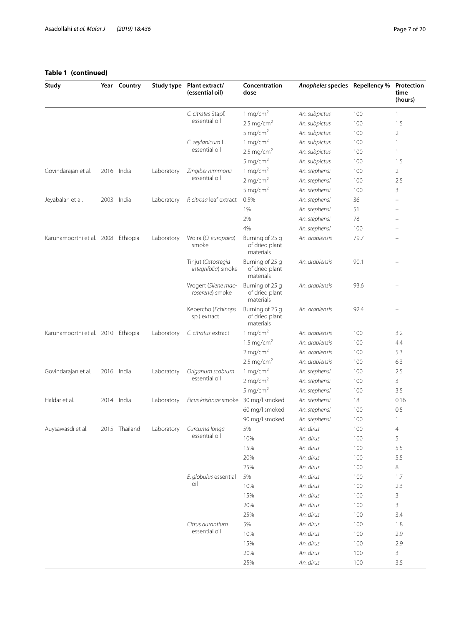| Study                              | Year Country  |            | Study type Plant extract/<br>(essential oil) | Concentration<br>dose                          | Anopheles species Repellency % |      | Protection<br>time<br>(hours) |
|------------------------------------|---------------|------------|----------------------------------------------|------------------------------------------------|--------------------------------|------|-------------------------------|
|                                    |               |            | C. citrates Stapf.                           | 1 mg/cm $^2$                                   | An. subpictus                  | 100  | 1                             |
|                                    |               |            | essential oil                                | $2.5 \text{ mg/cm}^2$                          | An. subpictus                  | 100  | 1.5                           |
|                                    |               |            |                                              | 5 mg/cm $^2$                                   | An. subpictus                  | 100  | 2                             |
|                                    |               |            | C. zeylanicum L.                             | 1 mg/cm $^2$                                   | An. subpictus                  | 100  | 1                             |
|                                    |               |            | essential oil                                | $2.5 \text{ mg/cm}^2$                          | An. subpictus                  | 100  | 1                             |
|                                    |               |            |                                              | 5 mg/cm <sup>2</sup>                           | An. subpictus                  | 100  | 1.5                           |
| Govindarajan et al.                | 2016 India    | Laboratory | Zingiber nimmonii                            | 1 mg/cm $^2$                                   | An. stephensi                  | 100  | $\overline{2}$                |
|                                    |               |            | essential oil                                | $2$ mg/cm <sup>2</sup>                         | An. stephensi                  | 100  | 2.5                           |
|                                    |               |            |                                              | $5 \text{ mg/cm}^2$                            | An. stephensi                  | 100  | 3                             |
| Jeyabalan et al.                   | 2003 India    | Laboratory | P. citrosa leaf extract                      | 0.5%                                           | An. stephensi                  | 36   | $\overline{a}$                |
|                                    |               |            |                                              | 1%                                             | An. stephensi                  | 51   |                               |
|                                    |               |            |                                              | 2%                                             | An. stephensi                  | 78   |                               |
|                                    |               |            |                                              | 4%                                             | An. stephensi                  | 100  |                               |
| Karunamoorthi et al. 2008 Ethiopia |               | Laboratory | Woira (O. europaea)<br>smoke                 | Burning of 25 g<br>of dried plant<br>materials | An. arabiensis                 | 79.7 |                               |
|                                    |               |            | Tinjut (Ostostegia<br>integrifolia) smoke    | Burning of 25 g<br>of dried plant<br>materials | An. arabiensis                 | 90.1 |                               |
|                                    |               |            | Wogert (Silene mac-<br>roserene) smoke       | Burning of 25 g<br>of dried plant<br>materials | An. arabiensis                 | 93.6 |                               |
|                                    |               |            | Kebercho (Echinops<br>sp.) extract           | Burning of 25 g<br>of dried plant<br>materials | An. arabiensis                 | 92.4 |                               |
| Karunamoorthi et al. 2010 Ethiopia |               | Laboratory | C. citratus extract                          | $1 \text{ mg/cm}^2$                            | An. arabiensis                 | 100  | 3.2                           |
|                                    |               |            |                                              | 1.5 mg/cm $^2$                                 | An. arabiensis                 | 100  | 4.4                           |
|                                    |               |            |                                              | $2$ mg/cm <sup>2</sup>                         | An. arabiensis                 | 100  | 5.3                           |
|                                    |               |            |                                              | $2.5 \text{ mg/cm}^2$                          | An. arabiensis                 | 100  | 6.3                           |
| Govindarajan et al.                | 2016 India    | Laboratory | Origanum scabrum                             | 1 mg/cm $^2$                                   | An. stephensi                  | 100  | 2.5                           |
|                                    |               |            | essential oil                                | $2$ mg/cm <sup>2</sup>                         | An. stephensi                  | 100  | 3                             |
|                                    |               |            |                                              | $5 \text{ mg/cm}^2$                            | An. stephensi                  | 100  | 3.5                           |
| Haldar et al.                      | 2014 India    | Laboratory | Ficus krishnae smoke                         | 30 mg/l smoked                                 | An. stephensi                  | 18   | 0.16                          |
|                                    |               |            |                                              | 60 mg/l smoked                                 | An. stephensi                  | 100  | 0.5                           |
|                                    |               |            |                                              | 90 mg/l smoked                                 | An. stephensi                  | 100  | 1                             |
| Auysawasdi et al.                  | 2015 Thailand | Laboratory | Curcuma longa                                | 5%                                             | An. dirus                      | 100  | 4                             |
|                                    |               |            | essential oil                                | 10%                                            | An. dirus                      | 100  | 5                             |
|                                    |               |            |                                              | 15%                                            | An. dirus                      | 100  | 5.5                           |
|                                    |               |            |                                              | 20%                                            | An. dirus                      | 100  | 5.5                           |
|                                    |               |            |                                              | 25%                                            | An. dirus                      | 100  | $\,8\,$                       |
|                                    |               |            | E. globulus essential                        | 5%                                             | An. dirus                      | 100  | 1.7                           |
|                                    |               |            | oil                                          | 10%                                            | An. dirus                      | 100  | 2.3                           |
|                                    |               |            |                                              | 15%                                            | An. dirus                      | 100  | 3                             |
|                                    |               |            |                                              | 20%                                            | An. dirus                      | 100  | 3                             |
|                                    |               |            |                                              | 25%                                            | An. dirus                      | 100  | 3.4                           |
|                                    |               |            | Citrus aurantium                             | 5%                                             | An. dirus                      | 100  | 1.8                           |
|                                    |               |            | essential oil                                | 10%                                            | An. dirus                      | 100  | 2.9                           |
|                                    |               |            |                                              | 15%                                            | An. dirus                      | 100  | 2.9                           |
|                                    |               |            |                                              | 20%                                            | An. dirus                      | 100  | 3                             |
|                                    |               |            |                                              | 25%                                            | An. dirus                      | 100  | 3.5                           |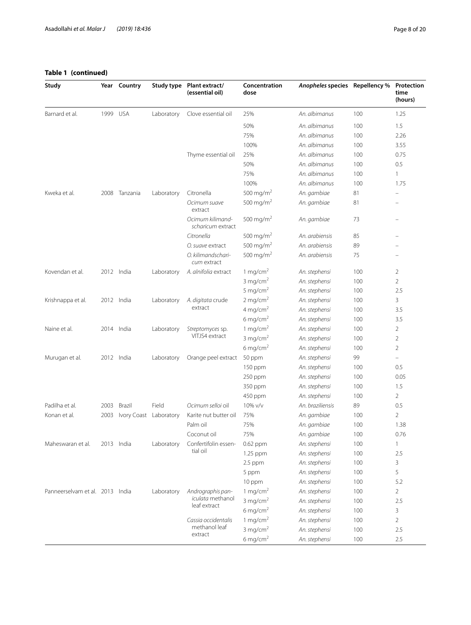| Study                           |      | Year Country | Study type             | Plant extract/<br>(essential oil)     | Concentration<br>dose  | Anopheles species Repellency % |     | Protection<br>time<br>(hours) |
|---------------------------------|------|--------------|------------------------|---------------------------------------|------------------------|--------------------------------|-----|-------------------------------|
| Barnard et al.                  |      | 1999 USA     | Laboratory             | Clove essential oil                   | 25%                    | An. albimanus                  | 100 | 1.25                          |
|                                 |      |              |                        |                                       | 50%                    | An. albimanus                  | 100 | 1.5                           |
|                                 |      |              |                        |                                       | 75%                    | An. albimanus                  | 100 | 2.26                          |
|                                 |      |              |                        |                                       | 100%                   | An. albimanus                  | 100 | 3.55                          |
|                                 |      |              |                        | Thyme essential oil                   | 25%                    | An. albimanus                  | 100 | 0.75                          |
|                                 |      |              |                        |                                       | 50%                    | An. albimanus                  | 100 | 0.5                           |
|                                 |      |              |                        |                                       | 75%                    | An. albimanus                  | 100 | $\mathbf{1}$                  |
|                                 |      |              |                        |                                       | 100%                   | An. albimanus                  | 100 | 1.75                          |
| Kweka et al.                    | 2008 | Tanzania     | Laboratory             | Citronella                            | 500 mg/m <sup>2</sup>  | An. gambiae                    | 81  |                               |
|                                 |      |              |                        | Ocimum suave<br>extract               | 500 mg/m <sup>2</sup>  | An. gambiae                    | 81  | $\overline{\phantom{0}}$      |
|                                 |      |              |                        | Ocimum kilimand-<br>scharicum extract | 500 mg/m <sup>2</sup>  | An. gambiae                    | 73  | L,                            |
|                                 |      |              |                        | Citronella                            | 500 mg/m <sup>2</sup>  | An. arabiensis                 | 85  | $\overline{\phantom{0}}$      |
|                                 |      |              |                        | O. suave extract                      | 500 mg/m <sup>2</sup>  | An. arabiensis                 | 89  |                               |
|                                 |      |              |                        | O. kilimandschari-<br>cum extract     | 500 mg/m <sup>2</sup>  | An. arabiensis                 | 75  |                               |
| Kovendan et al.                 |      | 2012 India   | Laboratory             | A. alnifolia extract                  | 1 mg/cm $^2$           | An. stephensi                  | 100 | 2                             |
|                                 |      |              |                        |                                       | $3$ mg/cm <sup>2</sup> | An. stephensi                  | 100 | 2                             |
|                                 |      |              |                        |                                       | $5 \text{ mg/cm}^2$    | An. stephensi                  | 100 | 2.5                           |
| Krishnappa et al.               |      | 2012 India   | Laboratory             | A. digitata crude                     | $2$ mg/cm <sup>2</sup> | An. stephensi                  | 100 | 3                             |
|                                 |      |              |                        | extract                               | $4$ mg/cm <sup>2</sup> | An. stephensi                  | 100 | 3.5                           |
|                                 |      |              |                        |                                       | $6$ mg/cm <sup>2</sup> | An. stephensi                  | 100 | 3.5                           |
| Naine et al.                    |      | 2014 India   | Laboratory             | Streptomyces sp.                      | 1 mg/cm $^2$           | An. stephensi                  | 100 | 2                             |
|                                 |      |              |                        | VITJS4 extract                        | $3$ mg/cm <sup>2</sup> | An. stephensi                  | 100 | 2                             |
|                                 |      |              |                        |                                       | $6$ mg/cm <sup>2</sup> | An. stephensi                  | 100 | 2                             |
| Murugan et al.                  |      | 2012 India   | Laboratory             | Orange peel extract                   | 50 ppm                 | An. stephensi                  | 99  | $\overline{\phantom{0}}$      |
|                                 |      |              |                        |                                       | 150 ppm                | An. stephensi                  | 100 | 0.5                           |
|                                 |      |              |                        |                                       | 250 ppm                | An. stephensi                  | 100 | 0.05                          |
|                                 |      |              |                        |                                       | 350 ppm                | An. stephensi                  | 100 | 1.5                           |
|                                 |      |              |                        |                                       | 450 ppm                | An. stephensi                  | 100 | 2                             |
| Padilha et al.                  | 2003 | Brazil       | Field                  | Ocimum selloi oil                     | 10% v/v                | An. braziliensis               | 89  | 0.5                           |
| Konan et al.                    | 2003 |              | Ivory Coast Laboratory | Karite nut butter oil                 | 75%                    | An. gambiae                    | 100 | $\overline{2}$                |
|                                 |      |              |                        | Palm oil                              | 75%                    | An. gambiae                    | 100 | 1.38                          |
|                                 |      |              |                        | Coconut oil                           | 75%                    | An. gambiae                    | 100 | 0.76                          |
| Maheswaran et al.               |      | 2013 India   | Laboratory             | Confertifolin essen-                  | 0.62 ppm               | An. stephensi                  | 100 | 1                             |
|                                 |      |              |                        | tial oil                              | 1.25 ppm               | An. stephensi                  | 100 | 2.5                           |
|                                 |      |              |                        |                                       | 2.5 ppm                | An. stephensi                  | 100 | 3                             |
|                                 |      |              |                        |                                       | 5 ppm                  | An. stephensi                  | 100 | 5                             |
|                                 |      |              |                        |                                       | 10 ppm                 | An. stephensi                  | 100 | 5.2                           |
| Panneerselvam et al. 2013 India |      |              | Laboratory             | Andrographis pan-                     | 1 mg/cm $^2$           | An. stephensi                  | 100 | $\overline{2}$                |
|                                 |      |              |                        | iculata methanol                      | $3$ mg/cm <sup>2</sup> | An. stephensi                  | 100 | 2.5                           |
|                                 |      |              |                        | leaf extract                          | $6$ mg/cm <sup>2</sup> | An. stephensi                  | 100 | 3                             |
|                                 |      |              |                        | Cassia occidentalis                   | 1 mg/cm $^2$           | An. stephensi                  | 100 | $\overline{2}$                |
|                                 |      |              |                        | methanol leaf                         | $3$ mg/cm <sup>2</sup> | An. stephensi                  | 100 | 2.5                           |
|                                 |      |              |                        | extract                               | $6$ mg/cm <sup>2</sup> | An. stephensi                  | 100 | 2.5                           |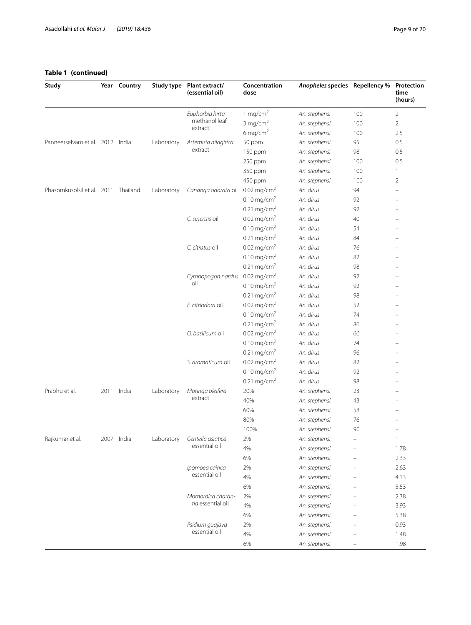| Study                           | Year Country |            | Study type Plant extract/<br>(essential oil) | Concentration<br>dose     | Anopheles species Repellency % |                                   | Protection<br>time<br>(hours) |
|---------------------------------|--------------|------------|----------------------------------------------|---------------------------|--------------------------------|-----------------------------------|-------------------------------|
|                                 |              |            | Euphorbia hirta                              | 1 mg/cm $^2$              | An. stephensi                  | 100                               | $\overline{2}$                |
|                                 |              |            | methanol leaf<br>extract                     | $3$ mg/cm <sup>2</sup>    | An. stephensi                  | 100                               | $\overline{2}$                |
|                                 |              |            |                                              | $6$ mg/cm <sup>2</sup>    | An. stephensi                  | 100                               | 2.5                           |
| Panneerselvam et al. 2012 India |              | Laboratory | Artemisia nilagirica                         | 50 ppm                    | An. stephensi                  | 95                                | 0.5                           |
|                                 |              |            | extract                                      | 150 ppm                   | An. stephensi                  | 98                                | 0.5                           |
|                                 |              |            |                                              | 250 ppm                   | An. stephensi                  | 100                               | 0.5                           |
|                                 |              |            |                                              | 350 ppm                   | An. stephensi                  | 100                               | 1                             |
|                                 |              |            |                                              | 450 ppm                   | An. stephensi                  | 100                               | $\overline{2}$                |
| Phasomkusolsil et al. 2011      | Thailand     | Laboratory | Cananga odorata oil                          | $0.02$ mg/cm <sup>2</sup> | An. dirus                      | 94                                | $\overline{\phantom{0}}$      |
|                                 |              |            |                                              | 0.10 mg/cm <sup>2</sup>   | An. dirus                      | 92                                | $\overline{\phantom{0}}$      |
|                                 |              |            |                                              | $0.21$ mg/cm <sup>2</sup> | An. dirus                      | 92                                | $\overline{\phantom{0}}$      |
|                                 |              |            | C. sinensis oil                              | $0.02$ mg/cm <sup>2</sup> | An. dirus                      | 40                                | ÷                             |
|                                 |              |            |                                              | 0.10 mg/cm <sup>2</sup>   | An. dirus                      | 54                                |                               |
|                                 |              |            |                                              | $0.21$ mg/cm <sup>2</sup> | An. dirus                      | 84                                | $\equiv$                      |
|                                 |              |            | C. citratus oil                              | $0.02$ mg/cm <sup>2</sup> | An. dirus                      | 76                                | ÷                             |
|                                 |              |            |                                              | $0.10$ mg/cm <sup>2</sup> | An. dirus                      | 82                                |                               |
|                                 |              |            |                                              | $0.21$ mg/cm <sup>2</sup> | An. dirus                      | 98                                |                               |
|                                 |              |            | Cymbopogon nardus 0.02 mg/cm <sup>2</sup>    |                           | An. dirus                      | 92                                |                               |
|                                 |              |            | oil                                          | $0.10$ mg/cm <sup>2</sup> | An. dirus                      | 92                                |                               |
|                                 |              |            |                                              | $0.21 \,\mathrm{mg/cm^2}$ | An. dirus                      | 98                                |                               |
|                                 |              |            | E. citriodora oil                            | $0.02 \,\mathrm{mg/cm^2}$ | An. dirus                      | 52                                |                               |
|                                 |              |            |                                              | $0.10$ mg/cm <sup>2</sup> | An. dirus                      | 74                                | $\overline{\phantom{0}}$      |
|                                 |              |            |                                              | $0.21$ mg/cm <sup>2</sup> | An. dirus                      | 86                                |                               |
|                                 |              |            | O. basilicum oil                             | $0.02$ mg/cm <sup>2</sup> | An. dirus                      | 66                                | $\equiv$                      |
|                                 |              |            |                                              | $0.10$ mg/cm <sup>2</sup> | An. dirus                      | 74                                | $\qquad \qquad -$             |
|                                 |              |            |                                              | $0.21$ mg/cm <sup>2</sup> | An. dirus                      | 96                                |                               |
|                                 |              |            | S. aromaticum oil                            | $0.02$ mg/cm <sup>2</sup> | An. dirus                      | 82                                |                               |
|                                 |              |            |                                              | $0.10$ mg/cm <sup>2</sup> | An. dirus                      | 92                                |                               |
|                                 |              |            |                                              | $0.21$ mg/cm <sup>2</sup> | An. dirus                      | 98                                | $\overline{\phantom{0}}$      |
| Prabhu et al.                   | 2011 India   | Laboratory | Moringa oleifera                             | 20%                       | An. stephensi                  | 23                                | $\overline{\phantom{0}}$      |
|                                 |              |            | extract                                      | 40%                       | An. stephensi                  | 43                                | $\overline{\phantom{0}}$      |
|                                 |              |            |                                              | 60%                       | An. stephensi                  | 58                                | $\overline{\phantom{0}}$      |
|                                 |              |            |                                              | 80%                       | An. stephensi                  | 76                                |                               |
|                                 |              |            |                                              | 100%                      | An. stephensi                  | 90                                |                               |
| Rajkumar et al.                 | 2007 India   |            | Laboratory Centella asiatica                 | 2%                        | An. stephensi                  |                                   | T.                            |
|                                 |              |            | essential oil                                | 4%                        | An. stephensi                  | $\overline{a}$                    | 1.78                          |
|                                 |              |            |                                              | 6%                        | An. stephensi                  |                                   | 2.33                          |
|                                 |              |            | Ipomoea cairica                              | 2%                        | An. stephensi                  |                                   | 2.63                          |
|                                 |              |            | essential oil                                | 4%                        | An. stephensi                  |                                   | 4.13                          |
|                                 |              |            |                                              | 6%                        | An. stephensi                  |                                   | 5.53                          |
|                                 |              |            | Momordica charan-                            | 2%                        | An. stephensi                  |                                   | 2.38                          |
|                                 |              |            | tia essential oil                            | 4%                        | An. stephensi                  |                                   | 3.93                          |
|                                 |              |            |                                              | 6%                        | An. stephensi                  |                                   | 5.38                          |
|                                 |              |            | Psidium guajava                              | 2%                        | An. stephensi                  |                                   | 0.93                          |
|                                 |              |            | essential oil                                | 4%                        | An. stephensi                  |                                   | 1.48                          |
|                                 |              |            |                                              | 6%                        | An. stephensi                  | $\hspace{1.0cm} - \hspace{1.0cm}$ | 1.98                          |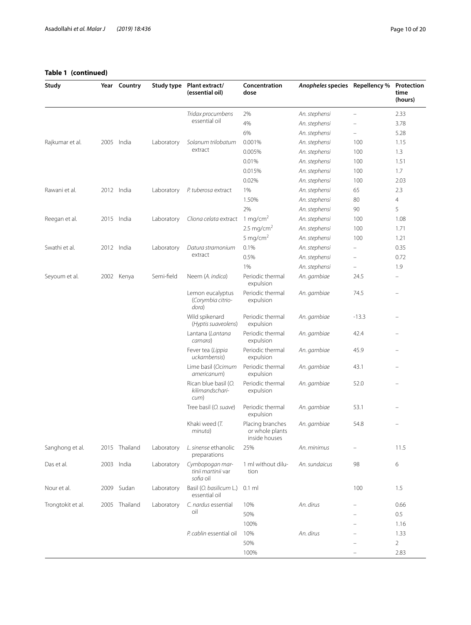| Study             | Year Country  |            | Study type Plant extract/<br>(essential oil)       | Concentration<br>dose                                | Anopheles species Repellency % |                          | Protection<br>time<br>(hours) |
|-------------------|---------------|------------|----------------------------------------------------|------------------------------------------------------|--------------------------------|--------------------------|-------------------------------|
|                   |               |            | Tridax procumbens                                  | 2%                                                   | An. stephensi                  | $\overline{\phantom{0}}$ | 2.33                          |
|                   |               |            | essential oil                                      | 4%                                                   | An. stephensi                  |                          | 3.78                          |
|                   |               |            |                                                    | 6%                                                   | An. stephensi                  |                          | 5.28                          |
| Rajkumar et al.   | 2005 India    | Laboratory | Solanum trilobatum                                 | 0.001%                                               | An. stephensi                  | 100                      | 1.15                          |
|                   |               |            | extract                                            | 0.005%                                               | An. stephensi                  | 100                      | 1.3                           |
|                   |               |            |                                                    | 0.01%                                                | An. stephensi                  | 100                      | 1.51                          |
|                   |               |            |                                                    | 0.015%                                               | An. stephensi                  | 100                      | 1.7                           |
|                   |               |            |                                                    | 0.02%                                                | An. stephensi                  | 100                      | 2.03                          |
| Rawani et al.     | 2012 India    | Laboratory | P. tuberosa extract                                | 1%                                                   | An. stephensi                  | 65                       | 2.3                           |
|                   |               |            |                                                    | 1.50%                                                | An. stephensi                  | 80                       | $\overline{4}$                |
|                   |               |            |                                                    | 2%                                                   | An. stephensi                  | 90                       | 5                             |
| Reegan et al.     | 2015 India    | Laboratory | Cliona celata extract                              | 1 mg/cm <sup>2</sup>                                 | An. stephensi                  | 100                      | 1.08                          |
|                   |               |            |                                                    | $2.5 \text{ mg/cm}^2$                                | An. stephensi                  | 100                      | 1.71                          |
|                   |               |            |                                                    | 5 mg/cm $^2$                                         | An. stephensi                  | 100                      | 1.21                          |
| Swathi et al.     | 2012 India    | Laboratory | Datura stramonium                                  | 0.1%                                                 | An. stephensi                  |                          | 0.35                          |
|                   |               |            | extract                                            | 0.5%                                                 | An. stephensi                  |                          | 0.72                          |
|                   |               |            |                                                    | 1%                                                   | An. stephensi                  |                          | 1.9                           |
| Seyoum et al.     | 2002 Kenya    | Semi-field | Neem (A. indica)                                   | Periodic thermal<br>expulsion                        | An. gambiae                    | 24.5                     | $\overline{\phantom{0}}$      |
|                   |               |            | Lemon eucalyptus<br>(Corymbia citrio-<br>dora)     | Periodic thermal<br>expulsion                        | An. gambiae                    | 74.5                     | $\overline{\phantom{0}}$      |
|                   |               |            | Wild spikenard<br>(Hyptis suaveolens)              | Periodic thermal<br>expulsion                        | An. gambiae                    | $-13.3$                  |                               |
|                   |               |            | Lantana (Lantana<br>camara)                        | Periodic thermal<br>expulsion                        | An. gambiae                    | 42.4                     |                               |
|                   |               |            | Fever tea (Lippia<br>uckambensis)                  | Periodic thermal<br>expulsion                        | An. gambiae                    | 45.9                     |                               |
|                   |               |            | Lime basil (Ocimum<br>americanum)                  | Periodic thermal<br>expulsion                        | An. gambiae                    | 43.1                     |                               |
|                   |               |            | Rican blue basil (O.<br>kilimandschari-<br>cum)    | Periodic thermal<br>expulsion                        | An. gambiae                    | 52.0                     |                               |
|                   |               |            | Tree basil (O. suave)                              | Periodic thermal<br>expulsion                        | An. gambiae                    | 53.1                     |                               |
|                   |               |            | Khaki weed (T.<br>minuta)                          | Placing branches<br>or whole plants<br>inside houses | An. gambiae                    | 54.8                     |                               |
| Sanghong et al.   | 2015 Thailand | Laboratory | L. sinense ethanolic<br>preparations               | 25%                                                  | An. minimus                    |                          | 11.5                          |
| Das et al.        | 2003 India    | Laboratory | Cymbopogan mar-<br>tinii martinii var<br>sofia oil | 1 ml without dilu-<br>tion                           | An. sundaicus                  | 98                       | 6                             |
| Nour et al.       | 2009 Sudan    | Laboratory | Basil (O. basilicum L.)<br>essential oil           | $0.1$ ml                                             |                                | 100                      | 1.5                           |
| Trongtokit et al. | 2005 Thailand | Laboratory | C. nardus essential                                | 10%                                                  | An. dirus                      | $\overline{\phantom{0}}$ | 0.66                          |
|                   |               |            | oil                                                | 50%                                                  |                                |                          | 0.5                           |
|                   |               |            |                                                    | 100%                                                 |                                |                          | 1.16                          |
|                   |               |            | P. cablin essential oil                            | 10%                                                  | An. dirus                      |                          | 1.33                          |
|                   |               |            |                                                    | 50%                                                  |                                |                          | $\overline{2}$                |
|                   |               |            |                                                    | 100%                                                 |                                |                          | 2.83                          |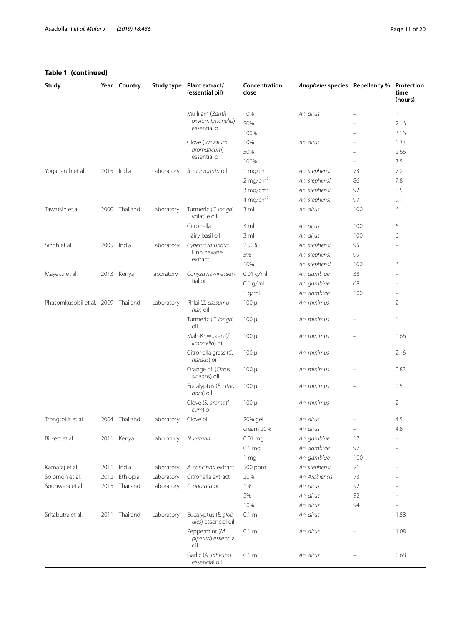| Study                               |      | Year Country  |                       | Study type Plant extract/<br>(essential oil)         | Concentration<br>dose  | Anopheles species Repellency % |                          | Protection<br>time<br>(hours) |
|-------------------------------------|------|---------------|-----------------------|------------------------------------------------------|------------------------|--------------------------------|--------------------------|-------------------------------|
|                                     |      |               |                       | Mullilam (Zanth-                                     | 10%                    | An. dirus                      | $\equiv$                 | $\mathbf{1}$                  |
|                                     |      |               |                       | oxylum limonella)<br>essential oil                   | 50%                    |                                |                          | 2.16                          |
|                                     |      |               |                       |                                                      | 100%                   |                                |                          | 3.16                          |
|                                     |      |               |                       | Clove (Syzygium                                      | 10%                    | An. dirus                      |                          | 1.33                          |
|                                     |      |               |                       | aromaticum)<br>essential oil                         | 50%                    |                                |                          | 2.66                          |
|                                     |      |               |                       |                                                      | 100%                   |                                |                          | 3.5                           |
| Yogananth et al.                    |      | 2015 India    | Laboratory            | R. mucronata oil                                     | 1 mg/cm <sup>2</sup>   | An. stephensi                  | 73                       | 7.2                           |
|                                     |      |               |                       |                                                      | $2$ mg/cm <sup>2</sup> | An. stephensi                  | 86                       | 7.8                           |
|                                     |      |               |                       |                                                      | $3$ mg/cm <sup>2</sup> | An. stephensi                  | 92                       | 8.5                           |
|                                     |      |               |                       |                                                      | $4$ mg/cm <sup>2</sup> | An. stephensi                  | 97                       | 9.1                           |
| Tawatsin et al.                     |      | 2000 Thailand | Laboratory            | Turmeric (C. longa)<br>volatile oil                  | 3 ml                   | An. dirus                      | 100                      | 6                             |
|                                     |      |               |                       | Citronella                                           | 3 ml                   | An. dirus                      | 100                      | 6                             |
|                                     |      |               |                       | Hairy basil oil                                      | 3 ml                   | An. dirus                      | 100                      | 6                             |
| Singh et al.                        |      | 2005 India    | Laboratory            | Cyperus rotundus                                     | 2.50%                  | An. stephensi                  | 95                       | $\overline{\phantom{0}}$      |
|                                     |      |               |                       | Linn hexane<br>extract                               | 5%                     | An. stephensi                  | 99                       | $\overline{\phantom{0}}$      |
|                                     |      |               |                       |                                                      | 10%                    | An. stephensi                  | 100                      | 6                             |
| Mayeku et al.                       |      | 2013 Kenya    | laboratory            | Conyza newii essen-                                  | $0.01$ g/ml            | An. gambiae                    | 38                       | $\overline{\phantom{0}}$      |
|                                     |      |               |                       | tial oil                                             | $0.1$ g/ml             | An. gambiae                    | 68                       | $\overline{\phantom{0}}$      |
|                                     |      |               |                       |                                                      | 1 g/ml                 | An. gambiae                    | 100                      | $\qquad \qquad -$             |
| Phasomkusolsil et al. 2009 Thailand |      |               | Laboratory            | Phlai (Z. cassumu-<br>nar) oil                       | $100 \mu$              | An. minimus                    |                          | $\overline{2}$                |
|                                     |      |               |                       | Turmeric (C. longa)<br>oil                           | $100 \mu$              | An. minimus                    |                          | 1                             |
|                                     |      |               |                       | Mah-Khwuaen (Z.<br>limonella) oil                    | $100 \mu$              | An. minimus                    |                          | 0.66                          |
|                                     |      |               |                       | Citronella grass (C.<br>nardus) oil                  | $100 \mu$              | An. minimus                    |                          | 2.16                          |
|                                     |      |               |                       | Orange oil (Citrus<br>sinensis) oil                  | $100 \mu$              | An. minimus                    |                          | 0.83                          |
|                                     |      |               |                       | Eucalyptus (E. citrio-<br>dora) oil                  | $100 \mu$              | An. minimus                    |                          | 0.5                           |
|                                     |      |               |                       | Clove (S. aromati-<br>cum) oil                       | $100 \mu$              | An. minimus                    |                          | 2                             |
| Trongtokit et al.                   |      | 2004 Thailand | Laboratory            | Clove oil                                            | 20% gel                | An. dirus                      |                          | 4.5                           |
|                                     |      |               |                       |                                                      | cream 20%              | An. dirus                      |                          | 4.8                           |
| Birkett et al.                      |      | 2011 Kenya    | Laboratory N. cataria |                                                      | $0.01$ mg              | An. gambiae                    | 17                       | -                             |
|                                     |      |               |                       |                                                      | 0.1 <sub>mg</sub>      | An. gambiae                    | 97                       |                               |
|                                     |      |               |                       |                                                      | 1 mg                   | An. gambiae                    | 100                      |                               |
| Kamaraj et al.                      |      | 2011 India    | Laboratory            | A. concinna extract                                  | 500 ppm                | An. stephensi                  | 21                       | $\overline{\phantom{0}}$      |
| Solomon et al.                      | 2012 | Ethiopia      | Laboratory            | Citronella extract                                   | 20%                    | An. Arabiensis                 | 73                       |                               |
| Soonwera et al.                     |      | 2015 Thailand | Laboratory            | C. odorata oil                                       | 1%                     | An. dirus                      | 92                       |                               |
|                                     |      |               |                       |                                                      | 5%                     | An. dirus                      | 92                       |                               |
|                                     |      |               |                       |                                                      | 10%                    | An. dirus                      | 94                       | $\overline{\phantom{0}}$      |
| Sritabutra et al.                   |      | 2011 Thailand | Laboratory            | Eucalyptus (E. glob-<br>ules) essencial oil          | $0.1$ ml               | An. dirus                      | $\overline{\phantom{0}}$ | 1.58                          |
|                                     |      |               |                       | Peppermint (M.<br><i>piperita</i> ) essencial<br>oil | $0.1$ ml               | An. dirus                      |                          | 1.08                          |
|                                     |      |               |                       | Garlic (A. sativum)<br>essencial oil                 | $0.1$ ml               | An. dirus                      |                          | 0.68                          |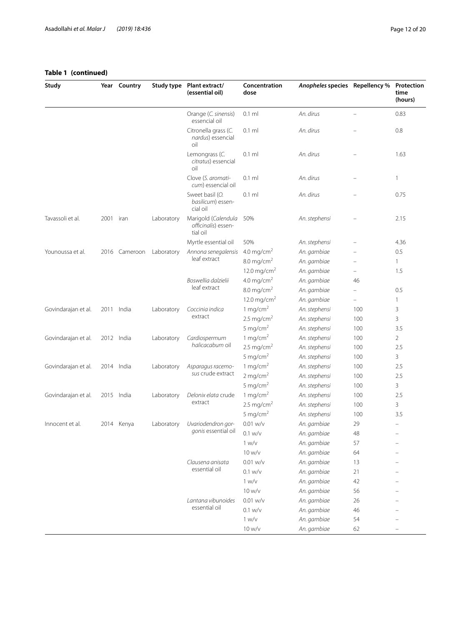| Study               |           | Year Country  | Study type | Plant extract/<br>(essential oil)                      | Concentration<br>dose    | Anopheles species Repellency % |                          | Protection<br>time<br>(hours) |
|---------------------|-----------|---------------|------------|--------------------------------------------------------|--------------------------|--------------------------------|--------------------------|-------------------------------|
|                     |           |               |            | Orange (C. sinensis)<br>essencial oil                  | $0.1$ ml                 | An. dirus                      |                          | 0.83                          |
|                     |           |               |            | Citronella grass (C.<br>nardus) essencial<br>oil       | $0.1$ ml                 | An. dirus                      |                          | 0.8                           |
|                     |           |               |            | Lemongrass (C.<br>citratus) essencial<br>oil           | $0.1$ ml                 | An. dirus                      |                          | 1.63                          |
|                     |           |               |            | Clove (S. aromati-<br>cum) essencial oil               | $0.1$ ml                 | An. dirus                      |                          | 1                             |
|                     |           |               |            | Sweet basil (O.<br>basilicum) essen-<br>cial oil       | $0.1$ ml                 | An. dirus                      |                          | 0.75                          |
| Tavassoli et al.    | 2001 iran |               | Laboratory | Marigold (Calendula<br>officinalis) essen-<br>tial oil | 50%                      | An. stephensi                  |                          | 2.15                          |
|                     |           |               |            | Myrtle essential oil                                   | 50%                      | An. stephensi                  |                          | 4.36                          |
| Younoussa et al.    |           | 2016 Cameroon | Laboratory | Annona senegalensis                                    | 4.0 mg/cm <sup>2</sup>   | An. gambiae                    |                          | 0.5                           |
|                     |           |               |            | leaf extract                                           | $8.0 \text{ mg/cm}^2$    | An. gambiae                    |                          | 1.                            |
|                     |           |               |            |                                                        | 12.0 mg/cm <sup>2</sup>  | An. gambiae                    | $\qquad \qquad -$        | 1.5                           |
|                     |           |               |            | Boswellia dalzielii                                    | 4.0 mg/cm <sup>2</sup>   | An. gambiae                    | 46                       |                               |
|                     |           |               |            | leaf extract                                           | $8.0$ mg/cm <sup>2</sup> | An. gambiae                    | $\overline{\phantom{0}}$ | 0.5                           |
|                     |           |               |            |                                                        | 12.0 mg/cm <sup>2</sup>  | An. gambiae                    | $\overline{\phantom{0}}$ | 1                             |
| Govindarajan et al. |           | 2011 India    | Laboratory | Coccinia indica                                        | 1 mg/cm $^2$             | An. stephensi                  | 100                      | 3                             |
|                     |           |               |            | extract                                                | 2.5 mg/cm <sup>2</sup>   | An. stephensi                  | 100                      | 3                             |
|                     |           |               |            |                                                        | 5 mg/cm <sup>2</sup>     | An. stephensi                  | 100                      | 3.5                           |
| Govindarajan et al. |           | 2012 India    | Laboratory | Cardiospermum                                          | 1 mg/cm <sup>2</sup>     | An. stephensi                  | 100                      | $\overline{2}$                |
|                     |           |               |            | halicacabum oil                                        | $2.5 \text{ mg/cm}^2$    | An. stephensi                  | 100                      | 2.5                           |
|                     |           |               |            |                                                        | 5 mg/cm $^2$             | An. stephensi                  | 100                      | 3                             |
| Govindarajan et al. |           | 2014 India    | Laboratory | Asparagus racemo-                                      | 1 mg/cm <sup>2</sup>     | An. stephensi                  | 100                      | 2.5                           |
|                     |           |               |            | sus crude extract                                      | $2$ mg/cm <sup>2</sup>   | An. stephensi                  | 100                      | 2.5                           |
|                     |           |               |            |                                                        | 5 mg/cm <sup>2</sup>     | An. stephensi                  | 100                      | 3                             |
| Govindarajan et al. |           | 2015 India    | Laboratory | Delonix elata crude                                    | 1 mg/cm $^2$             | An. stephensi                  | 100                      | 2.5                           |
|                     |           |               |            | extract                                                | $2.5 \text{ mg/cm}^2$    | An. stephensi                  | 100                      | 3                             |
|                     |           |               |            |                                                        | 5 mg/cm <sup>2</sup>     | An. stephensi                  | 100                      | 3.5                           |
| Innocent et al.     |           | 2014 Kenya    | Laboratory | Uvariodendron gor-                                     | $0.01$ w/v               | An. gambiae                    | 29                       | $\overline{\phantom{0}}$      |
|                     |           |               |            | <i>gonis</i> essential oil                             | 0.1 w/v                  | An. gambiae                    | 48                       |                               |
|                     |           |               |            |                                                        | 1 w/v                    | An. gambiae                    | 57                       |                               |
|                     |           |               |            |                                                        | 10 w/v                   | An. gambiae                    | 64                       |                               |
|                     |           |               |            | Clausena anisata                                       | 0.01 w/v                 | An. gambiae                    | 13                       |                               |
|                     |           |               |            | essential oil                                          | 0.1 w/v                  | An. gambiae                    | 21                       |                               |
|                     |           |               |            |                                                        | 1 w/v                    | An. gambiae                    | 42                       |                               |
|                     |           |               |            |                                                        | 10 w/v                   | An. gambiae                    | 56                       |                               |
|                     |           |               |            | Lantana vibunoides                                     | 0.01 w/v                 | An. gambiae                    | 26                       |                               |
|                     |           |               |            | essential oil                                          | 0.1 w/v                  | An. gambiae                    | 46                       |                               |
|                     |           |               |            |                                                        | 1 w/v                    | An. gambiae                    | 54                       |                               |
|                     |           |               |            |                                                        | 10 w/v                   | An. gambiae                    | 62                       |                               |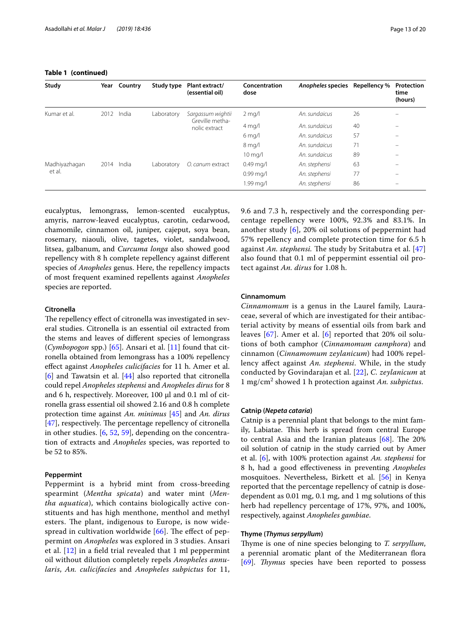| Study         |      | Year Country | Study type | Plant extract/<br>(essential oil)    | Concentration<br>dose  | Anopheles species | <b>Repellency</b> % | Protection<br>time<br>(hours) |
|---------------|------|--------------|------------|--------------------------------------|------------------------|-------------------|---------------------|-------------------------------|
| Kumar et al.  | 2012 | India        | Laboratory | Sargassum wightii<br>Greville metha- | $2 \text{mq}/l$        | An. sundaicus     | 26                  |                               |
|               |      |              |            | nolic extract                        | $4$ mg/l               | An. sundaicus     | 40                  |                               |
|               |      |              |            |                                      | $6 \text{ mg/l}$       | An. sundaicus     | 57                  | $\qquad \qquad =$             |
|               |      |              |            |                                      | $8 \text{ mg/l}$       | An sundaicus      | 71                  | -                             |
|               |      |              |            |                                      | $10 \text{ mg/l}$      | An. sundaicus     | 89                  |                               |
| Madhiyazhagan | 2014 | India        | Laboratory | O, canum extract                     | $0.49$ mg/l            | An. stephensi     | 63                  | -                             |
| et al.        |      |              |            |                                      | $0.99 \,\mathrm{mq/l}$ | An. stephensi     | 77                  | $\overline{\phantom{0}}$      |
|               |      |              |            |                                      | 1.99 mg/l              | An. stephensi     | 86                  |                               |
|               |      |              |            |                                      |                        |                   |                     |                               |

eucalyptus, lemongrass, lemon-scented eucalyptus, amyris, narrow-leaved eucalyptus, carotin, cedarwood, chamomile, cinnamon oil, juniper, cajeput, soya bean, rosemary, niaouli, olive, tagetes, violet, sandalwood, litsea, galbanum, and *Curcuma longa* also showed good repellency with 8 h complete repellency against diferent species of *Anopheles* genus. Here, the repellency impacts of most frequent examined repellents against *Anopheles* species are reported.

## **Citronella**

The repellency effect of citronella was investigated in several studies. Citronella is an essential oil extracted from the stems and leaves of diferent species of lemongrass (*Cymbopogon* spp.) [\[65\]](#page-19-4). Ansari et al. [\[11\]](#page-17-9) found that citronella obtained from lemongrass has a 100% repellency efect against *Anopheles culicifacies* for 11 h. Amer et al. [[6\]](#page-17-5) and Tawatsin et al. [\[44](#page-18-10)] also reported that citronella could repel *Anopheles stephensi* and *Anopheles dirus* for 8 and 6 h, respectively. Moreover, 100 μl and 0.1 ml of citronella grass essential oil showed 2.16 and 0.8 h complete protection time against *An. minimus* [\[45\]](#page-18-11) and *An. dirus*  $[47]$  $[47]$ , respectively. The percentage repellency of citronella in other studies. [[6,](#page-17-5) [52,](#page-18-4) [59](#page-18-8)], depending on the concentration of extracts and *Anopheles* species, was reported to be 52 to 85%.

## **Peppermint**

Peppermint is a hybrid mint from cross-breeding spearmint (*Mentha spicata*) and water mint (*Mentha aquatica*), which contains biologically active constituents and has high menthone, menthol and methyl esters. The plant, indigenous to Europe, is now widespread in cultivation worldwide  $[66]$  $[66]$  $[66]$ . The effect of peppermint on *Anopheles* was explored in 3 studies. Ansari et al. [[12\]](#page-17-10) in a feld trial revealed that 1 ml peppermint oil without dilution completely repels *Anopheles annularis*, *An. culicifacies* and *Anopheles subpictus* for 11, 9.6 and 7.3 h, respectively and the corresponding percentage repellency were 100%, 92.3% and 83.1%. In another study [[6\]](#page-17-5), 20% oil solutions of peppermint had 57% repellency and complete protection time for 6.5 h against *An. stephensi*. The study by Sritabutra et al. [\[47](#page-18-12)] also found that 0.1 ml of peppermint essential oil protect against *An. dirus* for 1.08 h.

## **Cinnamomum**

*Cinnamomum* is a genus in the Laurel family, Lauraceae, several of which are investigated for their antibacterial activity by means of essential oils from bark and leaves [[67\]](#page-19-6). Amer et al. [[6\]](#page-17-5) reported that 20% oil solutions of both camphor (*Cinnamomum camphora*) and cinnamon (*Cinnamomum zeylanicum*) had 100% repellency afect against *An. stephensi*. While, in the study conducted by Govindarajan et al. [\[22](#page-18-13)], *C. zeylanicum* at 1 mg/cm<sup>2</sup> showed 1 h protection against *An. subpictus*.

## **Catnip (***Nepeta cataria***)**

Catnip is a perennial plant that belongs to the mint family, Labiatae. This herb is spread from central Europe to central Asia and the Iranian plateaus  $[68]$  $[68]$ . The 20% oil solution of catnip in the study carried out by Amer et al. [\[6](#page-17-5)], with 100% protection against *An. stephensi* for 8 h, had a good efectiveness in preventing *Anopheles* mosquitoes. Nevertheless, Birkett et al. [\[56](#page-18-14)] in Kenya reported that the percentage repellency of catnip is dosedependent as 0.01 mg, 0.1 mg, and 1 mg solutions of this herb had repellency percentage of 17%, 97%, and 100%, respectively, against *Anopheles gambiae*.

#### **Thyme (***Thymus serpyllum***)**

Thyme is one of nine species belonging to *T. serpyllum*, a perennial aromatic plant of the Mediterranean fora [[69\]](#page-19-8). *Tymus* species have been reported to possess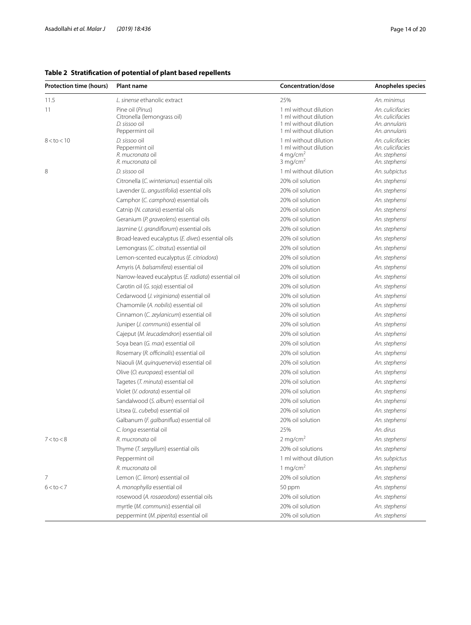# <span id="page-13-0"></span>**Table 2 Stratifcation of potential of plant based repellents**

| Protection time (hours) | <b>Plant name</b>                                                                  | Concentration/dose                                                                               | Anopheles species                                                      |
|-------------------------|------------------------------------------------------------------------------------|--------------------------------------------------------------------------------------------------|------------------------------------------------------------------------|
| 11.5                    | L. sinense ethanolic extract                                                       | 25%                                                                                              | An. minimus                                                            |
| 11                      | Pine oil (Pinus)<br>Citronella (lemongrass oil)<br>D. sissoo oil<br>Peppermint oil | 1 ml without dilution<br>1 ml without dilution<br>1 ml without dilution<br>1 ml without dilution | An. culicifacies<br>An. culicifacies<br>An. annularis<br>An. annularis |
| $8 <$ to $< 10$         | D. sissoo oil<br>Peppermint oil<br>R. mucronata oil<br>R. mucronata oil            | 1 ml without dilution<br>1 ml without dilution<br>$4 \,\mathrm{mg/cm^2}$<br>$3 \text{ mg/cm}^2$  | An. culicifacies<br>An. culicifacies<br>An. stephensi<br>An. stephensi |
| 8                       | D. sissoo oil                                                                      | 1 ml without dilution                                                                            | An. subpictus                                                          |
|                         | Citronella (C. winterianus) essential oils                                         | 20% oil solution                                                                                 | An. stephensi                                                          |
|                         | Lavender (L. angustifolia) essential oils                                          | 20% oil solution                                                                                 | An. stephensi                                                          |
|                         | Camphor (C. camphora) essential oils                                               | 20% oil solution                                                                                 | An. stephensi                                                          |
|                         | Catnip (N. cataria) essential oils                                                 | 20% oil solution                                                                                 | An. stephensi                                                          |
|                         | Geranium (P. graveolens) essential oils                                            | 20% oil solution                                                                                 | An. stephensi                                                          |
|                         | Jasmine (J. grandiflorum) essential oils                                           | 20% oil solution                                                                                 | An. stephensi                                                          |
|                         | Broad-leaved eucalyptus (E. dives) essential oils                                  | 20% oil solution                                                                                 | An. stephensi                                                          |
|                         | Lemongrass (C. citratus) essential oil                                             | 20% oil solution                                                                                 | An. stephensi                                                          |
|                         | Lemon-scented eucalyptus (E. citriodora)                                           | 20% oil solution                                                                                 | An. stephensi                                                          |
|                         | Amyris (A. balsamifera) essential oil                                              | 20% oil solution                                                                                 | An. stephensi                                                          |
|                         | Narrow-leaved eucalyptus (E. radiata) essential oil                                | 20% oil solution                                                                                 | An. stephensi                                                          |
|                         | Carotin oil (G. soja) essential oil                                                | 20% oil solution                                                                                 | An. stephensi                                                          |
|                         | Cedarwood (J. virginiana) essential oil                                            | 20% oil solution                                                                                 | An. stephensi                                                          |
|                         | Chamomile (A. nobilis) essential oil                                               | 20% oil solution                                                                                 | An. stephensi                                                          |
|                         | Cinnamon (C. zeylanicum) essential oil                                             | 20% oil solution                                                                                 | An. stephensi                                                          |
|                         | Juniper (J. communis) essential oil                                                | 20% oil solution                                                                                 | An. stephensi                                                          |
|                         | Cajeput (M. leucadendron) essential oil                                            | 20% oil solution                                                                                 | An. stephensi                                                          |
|                         | Soya bean (G. max) essential oil                                                   | 20% oil solution                                                                                 | An. stephensi                                                          |
|                         | Rosemary (R. officinalis) essential oil                                            | 20% oil solution                                                                                 | An. stephensi                                                          |
|                         | Niaouli (M. quinquenervia) essential oil                                           | 20% oil solution                                                                                 | An. stephensi                                                          |
|                         | Olive (O. europaea) essential oil                                                  | 20% oil solution                                                                                 | An. stephensi                                                          |
|                         | Tagetes (T. minuta) essential oil                                                  | 20% oil solution                                                                                 | An. stephensi                                                          |
|                         | Violet (V. odorata) essential oil                                                  | 20% oil solution                                                                                 | An. stephensi                                                          |
|                         | Sandalwood (S. album) essential oil                                                | 20% oil solution                                                                                 | An. stephensi                                                          |
|                         | Litsea (L. cubeba) essential oil                                                   | 20% oil solution                                                                                 | An. stephensi                                                          |
|                         | Galbanum (F. galbaniflua) essential oil                                            | 20% oil solution                                                                                 | An. stephensi                                                          |
|                         | C. longa essential oil                                                             | 25%                                                                                              | An. dirus                                                              |
| $7 <$ to $<$ 8          | R. mucronata oil                                                                   | $2$ mg/cm <sup>2</sup>                                                                           | An. stephensi                                                          |
|                         | Thyme (T. serpyllum) essential oils                                                | 20% oil solutions                                                                                | An. stephensi                                                          |
|                         | Peppermint oil                                                                     | 1 ml without dilution                                                                            | An. subpictus                                                          |
|                         | R. mucronata oil                                                                   | 1 mg/cm $^2$                                                                                     | An. stephensi                                                          |
| 7                       | Lemon (C. limon) essential oil                                                     | 20% oil solution                                                                                 | An. stephensi                                                          |
| $6 <$ to $<$ 7          | A. monophylla essential oil                                                        | 50 ppm                                                                                           | An. stephensi                                                          |
|                         | rosewood (A. rosaeodora) essential oils                                            | 20% oil solution                                                                                 | An. stephensi                                                          |
|                         | myrtle (M. communis) essential oil                                                 | 20% oil solution                                                                                 | An. stephensi                                                          |
|                         | peppermint (M. piperita) essential oil                                             | 20% oil solution                                                                                 | An. stephensi                                                          |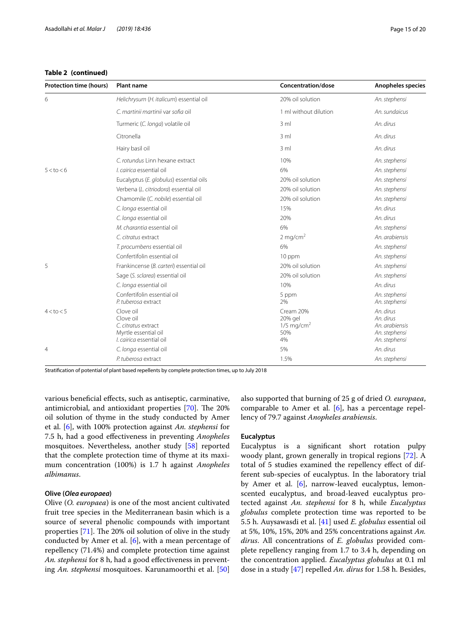| <b>Protection time (hours)</b> | <b>Plant name</b>                                                                                 | Concentration/dose                                            | <b>Anopheles species</b>                                                   |
|--------------------------------|---------------------------------------------------------------------------------------------------|---------------------------------------------------------------|----------------------------------------------------------------------------|
| 6                              | Helichrysum (H. italicum) essential oil                                                           | 20% oil solution                                              | An. stephensi                                                              |
|                                | C. martinii martinii var sofia oil                                                                | 1 ml without dilution                                         | An. sundaicus                                                              |
|                                | Turmeric (C. longa) volatile oil                                                                  | 3 <sub>m</sub>                                                | An. dirus                                                                  |
|                                | Citronella                                                                                        | 3 <sub>m</sub>                                                | An. dirus                                                                  |
|                                | Hairy basil oil                                                                                   | 3 <sub>m</sub>                                                | An. dirus                                                                  |
|                                | C. rotundus Linn hexane extract                                                                   | 10%                                                           | An. stephensi                                                              |
| $5 <$ to $<$ 6                 | I. cairica essential oil                                                                          | 6%                                                            | An. stephensi                                                              |
|                                | Eucalyptus (E. globulus) essential oils                                                           | 20% oil solution                                              | An. stephensi                                                              |
|                                | Verbena (L. citriodora) essential oil                                                             | 20% oil solution                                              | An. stephensi                                                              |
|                                | Chamomile (C. nobile) essential oil                                                               | 20% oil solution                                              | An. stephensi                                                              |
|                                | C. longa essential oil                                                                            | 15%                                                           | An. dirus                                                                  |
|                                | C. longa essential oil                                                                            | 20%                                                           | An. dirus                                                                  |
|                                | M. charantia essential oil                                                                        | 6%                                                            | An. stephensi                                                              |
|                                | C. citratus extract                                                                               | $2$ mg/cm <sup>2</sup>                                        | An arabiensis                                                              |
|                                | T. procumbens essential oil                                                                       | 6%                                                            | An. stephensl                                                              |
|                                | Confertifolin essential oil                                                                       | 10 ppm                                                        | An. stephensi                                                              |
| 5                              | Frankincense (B. carteri) essential oil                                                           | 20% oil solution                                              | An. stephensi                                                              |
|                                | Sage (S. sclarea) essential oil                                                                   | 20% oil solution                                              | An. stephensi                                                              |
|                                | C. longa essential oil                                                                            | 10%                                                           | An. dirus                                                                  |
|                                | Confertifolin essential oil<br>P. tuberosa extract                                                | 5 ppm<br>2%                                                   | An. stephensi<br>An. stephensi                                             |
| $4 <$ to $<$ 5                 | Clove oil<br>Clove oil<br>C. citratus extract<br>Myrtle essential oil<br>I. cairica essential oil | Cream 20%<br>20% gel<br>$1/5$ mg/cm <sup>2</sup><br>50%<br>4% | An. dirus<br>An. dirus<br>An. arabiensis<br>An. stephensi<br>An. stephensi |
| 4                              | C. longa essential oil                                                                            | 5%                                                            | An. dirus                                                                  |
|                                | P. tuberosa extract                                                                               | 1.5%                                                          | An. stephensi                                                              |

Stratifcation of potential of plant based repellents by complete protection times, up to July 2018

various benefcial efects, such as antiseptic, carminative, antimicrobial, and antioxidant properties  $[70]$  $[70]$ . The 20% oil solution of thyme in the study conducted by Amer et al. [\[6](#page-17-5)], with 100% protection against *An. stephensi* for 7.5 h, had a good efectiveness in preventing *Anopheles* mosquitoes. Nevertheless, another study [\[58](#page-18-7)] reported that the complete protection time of thyme at its maximum concentration (100%) is 1.7 h against *Anopheles albimanus*.

# **Olive (***Olea europaea***)**

Olive (*O. europaea*) is one of the most ancient cultivated fruit tree species in the Mediterranean basin which is a source of several phenolic compounds with important properties  $[71]$  $[71]$  $[71]$ . The 20% oil solution of olive in the study conducted by Amer et al. [[6](#page-17-5)], with a mean percentage of repellency (71.4%) and complete protection time against *An. stephensi* for 8 h, had a good efectiveness in preventing *An. stephensi* mosquitoes. Karunamoorthi et al. [[50](#page-18-15)] also supported that burning of 25 g of dried *O. europaea*, comparable to Amer et al. [[6\]](#page-17-5), has a percentage repellency of 79.7 against *Anopheles arabiensis*.

#### **Eucalyptus**

Eucalyptus is a signifcant short rotation pulpy woody plant, grown generally in tropical regions [\[72](#page-19-11)]. A total of 5 studies examined the repellency efect of different sub-species of eucalyptus. In the laboratory trial by Amer et al. [\[6](#page-17-5)], narrow-leaved eucalyptus, lemonscented eucalyptus, and broad-leaved eucalyptus protected against *An. stephensi* for 8 h, while *Eucalyptus globulus* complete protection time was reported to be 5.5 h. Auysawasdi et al. [\[41\]](#page-18-1) used *E. globulus* essential oil at 5%, 10%, 15%, 20% and 25% concentrations against *An. dirus*. All concentrations of *E. globulus* provided complete repellency ranging from 1.7 to 3.4 h, depending on the concentration applied. *Eucalyptus globulus* at 0.1 ml dose in a study [\[47\]](#page-18-12) repelled *An. dirus* for 1.58 h. Besides,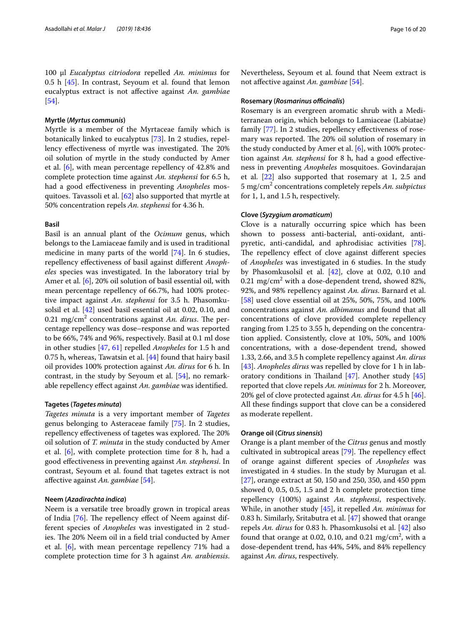100 μl *Eucalyptus citriodora* repelled *An. minimus* for 0.5 h [[45\]](#page-18-11). In contrast, Seyoum et al. found that lemon eucalyptus extract is not afective against *An. gambiae* [[54\]](#page-18-16).

#### **Myrtle (***Myrtus communis***)**

Myrtle is a member of the Myrtaceae family which is botanically linked to eucalyptus [\[73](#page-19-12)]. In 2 studies, repellency effectiveness of myrtle was investigated. The 20% oil solution of myrtle in the study conducted by Amer et al. [\[6](#page-17-5)], with mean percentage repellency of 42.8% and complete protection time against *An. stephensi* for 6.5 h, had a good efectiveness in preventing *Anopheles* mosquitoes. Tavassoli et al. [\[62](#page-19-1)] also supported that myrtle at 50% concentration repels *An. stephensi* for 4.36 h.

## **Basil**

Basil is an annual plant of the *Ocimum* genus, which belongs to the Lamiaceae family and is used in traditional medicine in many parts of the world [[74](#page-19-13)]. In 6 studies, repellency efectiveness of basil against diferent *Anopheles* species was investigated. In the laboratory trial by Amer et al. [[6\]](#page-17-5), 20% oil solution of basil essential oil, with mean percentage repellency of 66.7%, had 100% protective impact against *An. stephensi* for 3.5 h. Phasomkusolsil et al. [\[42](#page-18-17)] used basil essential oil at 0.02, 0.10, and 0.21 mg/cm<sup>2</sup> concentrations against *An. dirus*. The percentage repellency was dose–response and was reported to be 66%, 74% and 96%, respectively. Basil at 0.1 ml dose in other studies [[47,](#page-18-12) [61\]](#page-19-0) repelled *Anopheles* for 1.5 h and 0.75 h, whereas, Tawatsin et al. [\[44\]](#page-18-10) found that hairy basil oil provides 100% protection against *An. dirus* for 6 h. In contrast, in the study by Seyoum et al. [\[54](#page-18-16)], no remarkable repellency efect against *An. gambiae* was identifed.

## **Tagetes (***Tagetes minuta***)**

*Tagetes minuta* is a very important member of *Tagetes* genus belonging to Asteraceae family [[75\]](#page-19-14). In 2 studies, repellency effectiveness of tagetes was explored. The 20% oil solution of *T. minuta* in the study conducted by Amer et al. [[6](#page-17-5)], with complete protection time for 8 h, had a good efectiveness in preventing against *An. stephensi*. In contrast, Seyoum et al. found that tagetes extract is not afective against *An. gambiae* [[54\]](#page-18-16).

## **Neem (***Azadirachta indica***)**

Neem is a versatile tree broadly grown in tropical areas of India  $[76]$  $[76]$ . The repellency effect of Neem against different species of *Anopheles* was investigated in 2 studies. The 20% Neem oil in a field trial conducted by Amer et al. [[6\]](#page-17-5), with mean percentage repellency 71% had a complete protection time for 3 h against *An. arabiensis*. Nevertheless, Seyoum et al. found that Neem extract is not afective against *An. gambiae* [[54\]](#page-18-16).

#### **Rosemary (***Rosmarinus officinalis*)

Rosemary is an evergreen aromatic shrub with a Mediterranean origin, which belongs to Lamiaceae (Labiatae) family [\[77\]](#page-19-16). In 2 studies, repellency effectiveness of rosemary was reported. The 20% oil solution of rosemary in the study conducted by Amer et al. [[6\]](#page-17-5), with 100% protection against *An. stephensi* for 8 h, had a good efectiveness in preventing *Anopheles* mosquitoes. Govindarajan et al. [\[22\]](#page-18-13) also supported that rosemary at 1, 2.5 and 5 mg/cm<sup>2</sup> concentrations completely repels *An. subpictus* for 1, 1, and 1.5 h, respectively.

## **Clove (***Syzygium aromaticum***)**

Clove is a naturally occurring spice which has been shown to possess anti-bacterial, anti-oxidant, antipyretic, anti-candidal, and aphrodisiac activities [\[78](#page-19-17)]. The repellency effect of clove against different species of *Anopheles* was investigated in 6 studies. In the study by Phasomkusolsil et al. [\[42\]](#page-18-17), clove at 0.02, 0.10 and  $0.21 \text{ mg/cm}^2$  with a dose-dependent trend, showed 82%, 92%, and 98% repellency against *An. dirus*. Barnard et al. [[58\]](#page-18-7) used clove essential oil at 25%, 50%, 75%, and 100% concentrations against *An. albimanus* and found that all concentrations of clove provided complete repellency ranging from 1.25 to 3.55 h, depending on the concentration applied. Consistently, clove at 10%, 50%, and 100% concentrations, with a dose-dependent trend, showed 1.33, 2.66, and 3.5 h complete repellency against *An. dirus* [[43\]](#page-18-18). *Anopheles dirus* was repelled by clove for 1 h in laboratory conditions in Thailand  $[47]$  $[47]$ . Another study  $[45]$  $[45]$  $[45]$ reported that clove repels *An. minimus* for 2 h. Moreover, 20% gel of clove protected against *An. dirus* for 4.5 h [\[46](#page-18-19)]. All these fndings support that clove can be a considered as moderate repellent.

#### **Orange oil (***Citrus sinensis***)**

Orange is a plant member of the *Citrus* genus and mostly cultivated in subtropical areas  $[79]$  $[79]$ . The repellency effect of orange against diferent species of *Anopheles* was investigated in 4 studies. In the study by Murugan et al. [[27\]](#page-18-20), orange extract at 50, 150 and 250, 350, and 450 ppm showed 0, 0.5, 0.5, 1.5 and 2 h complete protection time repellency (100%) against *An. stephensi*, respectively. While, in another study [[45](#page-18-11)], it repelled *An. minimus* for 0.83 h. Similarly, Sritabutra et al. [\[47\]](#page-18-12) showed that orange repels *An. dirus* for 0.83 h. Phasomkusolsi et al. [[42\]](#page-18-17) also found that orange at 0.02, 0.10, and 0.21 mg/cm<sup>2</sup>, with a dose-dependent trend, has 44%, 54%, and 84% repellency against *An. dirus*, respectively.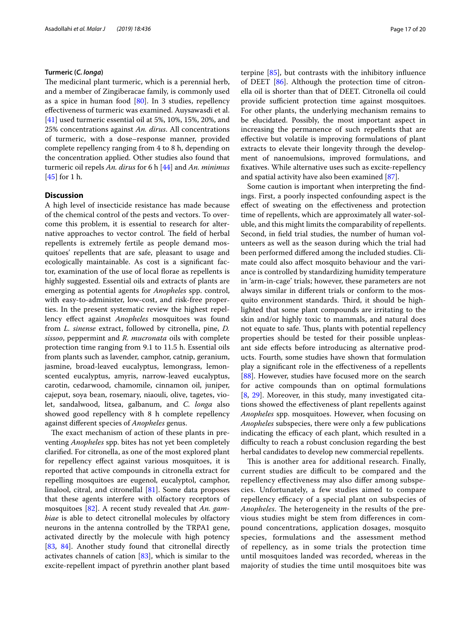#### **Turmeric (***C. longa***)**

The medicinal plant turmeric, which is a perennial herb, and a member of Zingiberacae family, is commonly used as a spice in human food  $[80]$  $[80]$  $[80]$ . In 3 studies, repellency efectiveness of turmeric was examined. Auysawasdi et al. [[41\]](#page-18-1) used turmeric essential oil at 5%, 10%, 15%, 20%, and 25% concentrations against *An. dirus*. All concentrations of turmeric, with a dose–response manner, provided complete repellency ranging from 4 to 8 h, depending on the concentration applied. Other studies also found that turmeric oil repels *An. dirus* for 6 h [[44](#page-18-10)] and *An. minimus* [[45\]](#page-18-11) for 1 h.

## **Discussion**

A high level of insecticide resistance has made because of the chemical control of the pests and vectors. To overcome this problem, it is essential to research for alternative approaches to vector control. The field of herbal repellents is extremely fertile as people demand mosquitoes' repellents that are safe, pleasant to usage and ecologically maintainable. As cost is a signifcant factor, examination of the use of local florae as repellents is highly suggested. Essential oils and extracts of plants are emerging as potential agents for *Anopheles* spp. control, with easy-to-administer, low-cost, and risk-free properties. In the present systematic review the highest repellency efect against *Anopheles* mosquitoes was found from *L. sinense* extract, followed by citronella, pine, *D. sissoo*, peppermint and *R. mucronata* oils with complete protection time ranging from 9.1 to 11.5 h. Essential oils from plants such as lavender, camphor, catnip, geranium, jasmine, broad-leaved eucalyptus, lemongrass, lemonscented eucalyptus, amyris, narrow-leaved eucalyptus, carotin, cedarwood, chamomile, cinnamon oil, juniper, cajeput, soya bean, rosemary, niaouli, olive, tagetes, violet, sandalwood, litsea, galbanum, and *C. longa* also showed good repellency with 8 h complete repellency against diferent species of *Anopheles* genus.

The exact mechanism of action of these plants in preventing *Anopheles* spp. bites has not yet been completely clarifed. For citronella, as one of the most explored plant for repellency efect against various mosquitoes, it is reported that active compounds in citronella extract for repelling mosquitoes are eugenol, eucalyptol, camphor, linalool, citral, and citronellal [\[81\]](#page-19-20). Some data proposes that these agents interfere with olfactory receptors of mosquitoes [[82](#page-19-21)]. A recent study revealed that *An. gambiae* is able to detect citronellal molecules by olfactory neurons in the antenna controlled by the TRPA1 gene, activated directly by the molecule with high potency [[83,](#page-19-22) [84\]](#page-19-23). Another study found that citronellal directly activates channels of cation [[83\]](#page-19-22), which is similar to the excite-repellent impact of pyrethrin another plant based terpine [[85\]](#page-19-24), but contrasts with the inhibitory infuence of DEET [\[86\]](#page-19-25). Although the protection time of citronella oil is shorter than that of DEET. Citronella oil could provide sufficient protection time against mosquitoes. For other plants, the underlying mechanism remains to be elucidated. Possibly, the most important aspect in increasing the permanence of such repellents that are efective but volatile is improving formulations of plant extracts to elevate their longevity through the development of nanoemulsions, improved formulations, and fxatives. While alternative uses such as excite-repellency and spatial activity have also been examined [[87\]](#page-19-26).

Some caution is important when interpreting the fndings. First, a poorly inspected confounding aspect is the efect of sweating on the efectiveness and protection time of repellents, which are approximately all water-soluble, and this might limits the comparability of repellents. Second, in feld trial studies, the number of human volunteers as well as the season during which the trial had been performed difered among the included studies. Climate could also afect mosquito behaviour and the variance is controlled by standardizing humidity temperature in 'arm-in-cage' trials; however, these parameters are not always similar in diferent trials or conform to the mosquito environment standards. Third, it should be highlighted that some plant compounds are irritating to the skin and/or highly toxic to mammals, and natural does not equate to safe. Thus, plants with potential repellency properties should be tested for their possible unpleasant side efects before introducing as alternative products. Fourth, some studies have shown that formulation play a signifcant role in the efectiveness of a repellents [[88\]](#page-19-27). However, studies have focused more on the search for active compounds than on optimal formulations [[8,](#page-17-7) [29\]](#page-18-21). Moreover, in this study, many investigated citations showed the efectiveness of plant repellents against *Anopheles* spp. mosquitoes. However, when focusing on *Anopheles* subspecies, there were only a few publications indicating the efficacy of each plant, which resulted in a difficulty to reach a robust conclusion regarding the best herbal candidates to develop new commercial repellents.

This is another area for additional research. Finally, current studies are difficult to be compared and the repellency efectiveness may also difer among subspecies. Unfortunately, a few studies aimed to compare repellency efficacy of a special plant on subspecies of *Anopheles*. The heterogeneity in the results of the previous studies might be stem from diferences in compound concentrations, application dosages, mosquito species, formulations and the assessment method of repellency, as in some trials the protection time until mosquitoes landed was recorded, whereas in the majority of studies the time until mosquitoes bite was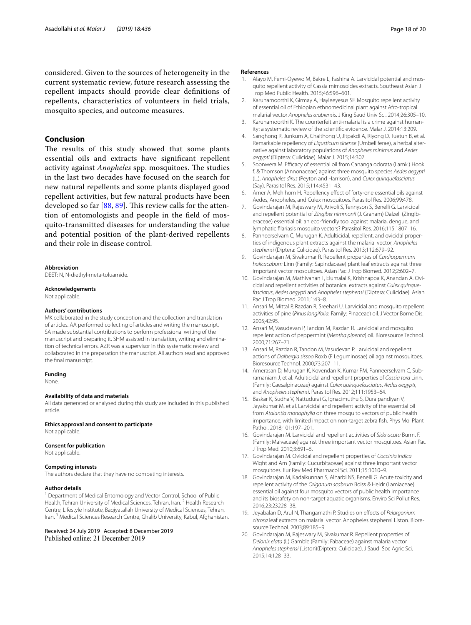considered. Given to the sources of heterogeneity in the current systematic review, future research assessing the repellent impacts should provide clear defnitions of repellents, characteristics of volunteers in feld trials, mosquito species, and outcome measures.

## **Conclusion**

The results of this study showed that some plants essential oils and extracts have signifcant repellent activity against *Anopheles* spp. mosquitoes. The studies in the last two decades have focused on the search for new natural repellents and some plants displayed good repellent activities, but few natural products have been developed so far  $[88, 89]$  $[88, 89]$  $[88, 89]$  $[88, 89]$ . This review calls for the attention of entomologists and people in the feld of mosquito-transmitted diseases for understanding the value and potential position of the plant-derived repellents and their role in disease control.

#### **Abbreviation**

DEET: N, N-diethyl-meta-toluamide.

## **Acknowledgements**

Not applicable.

#### **Authors' contributions**

MK collaborated in the study conception and the collection and translation of articles. AA performed collecting of articles and writing the manuscript. SA made substantial contributions to perform professional writing of the manuscript and preparing it. SHM assisted in translation, writing and elimination of technical errors. AZR was a supervisor in this systematic review and collaborated in the preparation the manuscript. All authors read and approved the fnal manuscript.

## **Funding**

None.

#### **Availability of data and materials**

All data generated or analysed during this study are included in this published article.

#### **Ethics approval and consent to participate**

Not applicable.

#### **Consent for publication**

Not applicable.

# **Competing interests**

The authors declare that they have no competing interests.

#### **Author details**

Department of Medical Entomology and Vector Control, School of Public Health, Tehran University of Medical Sciences, Tehran, Iran. <sup>2</sup> Health Research Centre, Lifestyle Institute, Baqiyatallah University of Medical Sciences, Tehran, Iran. 3 Medical Sciences Research Centre, Ghalib University, Kabul, Afghanistan.

Received: 24 July 2019 Accepted: 8 December 2019 Published online: 21 December 2019

#### **References**

- <span id="page-17-0"></span>1. Alayo M, Femi-Oyewo M, Bakre L, Fashina A. Larvicidal potential and mosquito repellent activity of Cassia mimosoides extracts. Southeast Asian J Trop Med Public Health. 2015;46:596–601.
- <span id="page-17-1"></span>2. Karunamoorthi K, Girmay A, Hayleeyesus SF. Mosquito repellent activity of essential oil of Ethiopian ethnomedicinal plant against Afro-tropical malarial vector *Anopheles arabiensis*. J King Saud Univ Sci. 2014;26:305–10.
- <span id="page-17-2"></span>3. Karunamoorthi K. The counterfeit anti-malarial is a crime against humanity: a systematic review of the scientifc evidence. Malar J. 2014;13:209.
- <span id="page-17-3"></span>4. Sanghong R, Junkum A, Chaithong U, Jitpakdi A, Riyong D, Tuetun B, et al. Remarkable repellency of *Ligusticum sinense* (Umbelliferae), a herbal alter‑ native against laboratory populations of *Anopheles minimus* and *Aedes aegypti* (Diptera: Culicidae). Malar J. 2015;14:307.
- <span id="page-17-4"></span>Soonwera M. Efficacy of essential oil from Cananga odorata (Lamk.) Hook. f. & Thomson (Annonaceae) against three mosquito species *Aedes aegypti* (L.), *Anopheles dirus* (Peyton and Harrison), and *Culex quinquefasciatus* (Say). Parasitol Res. 2015;114:4531–43.
- <span id="page-17-5"></span>6. Amer A, Mehlhorn H. Repellency efect of forty-one essential oils against Aedes, Anopheles, and Culex mosquitoes. Parasitol Res. 2006;99:478.
- <span id="page-17-6"></span>7. Govindarajan M, Rajeswary M, Arivoli S, Tennyson S, Benelli G. Larvicidal and repellent potential of *Zingiber nimmonii* (J. Graham) Dalzell (Zingiberaceae) essential oil: an eco-friendly tool against malaria, dengue, and lymphatic flariasis mosquito vectors? Parasitol Res. 2016;115:1807–16.
- <span id="page-17-7"></span>8. Panneerselvam C, Murugan K. Adulticidal, repellent, and ovicidal properties of indigenous plant extracts against the malarial vector, *Anopheles stephensi* (Diptera: Culicidae). Parasitol Res. 2013;112:679–92.
- 9. Govindarajan M, Sivakumar R. Repellent properties of *Cardiospermum halicacabum* Linn (Family: Sapindaceae) plant leaf extracts against three important vector mosquitoes. Asian Pac J Trop Biomed. 2012;2:602–7.
- <span id="page-17-8"></span>10. Govindarajan M, Mathivanan T, Elumalai K, Krishnappa K, Anandan A. Ovicidal and repellent activities of botanical extracts against *Culex quinquefasciatus*, *Aedes aegypti* and *Anopheles stephensi* (Diptera: Culicidae). Asian Pac J Trop Biomed. 2011;1:43–8.
- <span id="page-17-9"></span>11. Ansari M, Mittal P, Razdan R, Sreehari U. Larvicidal and mosquito repellent activities of pine (*Pinus longifolia*, Family: Pinaceae) oil. J Vector Borne Dis. 2005;42:95.
- <span id="page-17-10"></span>12. Ansari M, Vasudevan P, Tandon M, Razdan R. Larvicidal and mosquito repellent action of peppermint (*Mentha piperita*) oil. Bioresource Technol. 2000;71:267–71.
- 13. Ansari M, Razdan R, Tandon M, Vasudevan P. Larvicidal and repellent actions of *Dalbergia sissoo* Roxb (F Leguminosae) oil against mosquitoes. Bioresource Technol. 2000;73:207–11.
- 14. Amerasan D, Murugan K, Kovendan K, Kumar PM, Panneerselvam C, Subramaniam J, et al. Adulticidal and repellent properties of *Cassia tora* Linn. (Family: Caesalpinaceae) against *Culex quinquefasciatus*, *Aedes aegypti*, and *Anopheles stephensi*. Parasitol Res. 2012;111:1953–64.
- 15. Baskar K, Sudha V, Nattudurai G, Ignacimuthu S, Duraipandiyan V, Jayakumar M, et al. Larvicidal and repellent activity of the essential oil from *Atalantia monophylla* on three mosquito vectors of public health importance, with limited impact on non-target zebra fsh. Phys Mol Plant Pathol. 2018;101:197–201.
- 16. Govindarajan M. Larvicidal and repellent activities of *Sida acuta* Burm. F. (Family: Malvaceae) against three important vector mosquitoes. Asian Pac J Trop Med. 2010;3:691–5.
- 17. Govindarajan M. Ovicidal and repellent properties of *Coccinia indica* Wight and Arn (Family: Cucurbitaceae) against three important vector mosquitoes. Eur Rev Med Pharmacol Sci. 2011;15:1010–9.
- 18. Govindarajan M, Kadaikunnan S, Alharbi NS, Benelli G. Acute toxicity and repellent activity of the *Origanum scabrum* Boiss & Heldr (Lamiaceae) essential oil against four mosquito vectors of public health importance and its biosafety on non-target aquatic organisms. Enviro Sci Pollut Res. 2016;23:23228–38.
- 19. Jeyabalan D, Arul N, Thangamathi P. Studies on efects of *Pelargonium citrosa* leaf extracts on malarial vector. Anopheles stephensi Liston. Biore‑ source Technol. 2003;89:185–9.
- 20. Govindarajan M, Rajeswary M, Sivakumar R. Repellent properties of *Delonix elata* (L) Gamble (Family: Fabaceae) against malaria vector *Anopheles stephensi* (Liston)(Diptera: Culicidae). J Saudi Soc Agric Sci. 2015;14:128–33.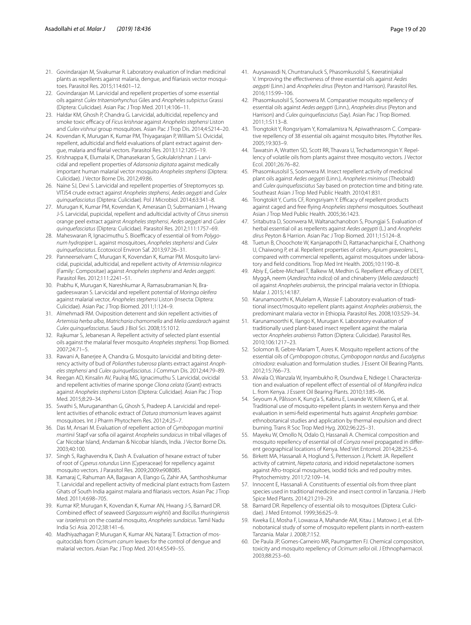- 21. Govindarajan M, Sivakumar R. Laboratory evaluation of Indian medicinal plants as repellents against malaria, dengue, and filariasis vector mosquitoes. Parasitol Res. 2015;114:601–12.
- <span id="page-18-13"></span>22. Govindarajan M. Larvicidal and repellent properties of some essential oils against *Culex tritaeniorhynchus* Giles and *Anopheles subpictus* Grassi (Diptera: Culicidae). Asian Pac J Trop Med. 2011;4:106–11.
- 23. Haldar KM, Ghosh P, Chandra G. Larvicidal, adulticidal, repellency and smoke toxic efficacy of *Ficus krishnae* against *Anopheles stephensi* Liston and *Culex vishnui* group mosquitoes. Asian Pac J Trop Dis. 2014;4:S214–20.
- 24. Kovendan K, Murugan K, Kumar PM, Thiyagarajan P, William SJ. Ovicidal, repellent, adulticidal and field evaluations of plant extract against dengue, malaria and flarial vectors. Parasitol Res. 2013;112:1205–19.
- 25. Krishnappa K, Elumalai K, Dhanasekaran S, Gokulakrishnan J. Larvicidal and repellent properties of *Adansonia digitata* against medically important human malarial vector mosquito *Anopheles stephensi* (Diptera: Culicidae). J Vector Borne Dis. 2012;49:86.
- 26. Naine SJ, Devi S. Larvicidal and repellent properties of Streptomyces sp. VITJS4 crude extract against *Anopheles stephensi*, *Aedes aegypti* and *Culex quinquefasciatus* (Diptera: Culicidae). Pol J Microbiol. 2014;63:341–8.
- <span id="page-18-20"></span>27. Murugan K, Kumar PM, Kovendan K, Amerasan D, Subrmaniam J, Hwang J-S. Larvicidal, pupicidal, repellent and adulticidal activity of *Citrus sinensis* orange peel extract against *Anopheles stephensi*, *Aedes aegypti* and *Culex quinquefasciatus* (Diptera: Culicidae). Parasitol Res. 2012;111:1757–69.
- 28. Maheswaran R, Ignacimuthu S. Bioefficacy of essential oil from *Polygonum hydropipe*r L. against mosquitoes, *Anopheles stephensi* and *Culex quinquefasciatus*. Ecotoxicol Environ Saf. 2013;97:26–31.
- <span id="page-18-21"></span>29. Panneerselvam C, Murugan K, Kovendan K, Kumar PM, Mosquito larvicidal, pupicidal, adulticidal, and repellent activity of *Artemisia nilagirica* (Family: Compositae) against *Anopheles stephensi* and *Aedes aegypti*. Parasitol Res. 2012;111:2241–51.
- 30. Prabhu K, Murugan K, Nareshkumar A, Ramasubramanian N, Bragadeeswaran S. Larvicidal and repellent potential of *Moringa oleifera* against malarial vector, *Anopheles stephensi* Liston (Insecta: Diptera: Culicidae). Asian Pac J Trop Biomed. 2011;1:124–9.
- 31. Almehmadi RM. Oviposition deterrent and skin repellent activities of *Artemisia herba alba*, *Matricharia chamomella* and *Melia azedarach* against *Culex quinquefasciatus*. Saudi J Biol Sci. 2008;15:1012.
- 32. Rajkumar S, Jebanesan A. Repellent activity of selected plant essential oils against the malarial fever mosquito *Anopheles stephensi*. Trop Biomed. 2007;24:71–5.
- 33. Rawani A, Banerjee A, Chandra G. Mosquito larvicidal and biting deterrency activity of bud of *Polianthes tuberosa* plants extract against *Anopheles stephensi* and *Culex quinquefasciatus*. J Commun Dis. 2012;44:79–89.
- 34. Reegan AD, Kinsalin AV, Paulraj MG, Ignacimuthu S. Larvicidal, ovicidal and repellent activities of marine sponge *Cliona celata* (Grant) extracts against *Anopheles stephensi* Liston (Diptera: Culicidae). Asian Pac J Trop Med. 2015;8:29–34.
- 35. Swathi S, Murugananthan G, Ghosh S, Pradeep A. Larvicidal and repellent activities of ethanolic extract of *Datura stramonium* leaves against mosquitoes. Int J Pharm Phytochem Res. 2012;4:25–7.
- 36. Das M, Ansari M. Evaluation of repellent action of *Cymbopogan martinii martinii* Stapf var sofa oil against *Anopheles sundaicus* in tribal villages of Car Nicobar Island, Andaman & Nicobar Islands, India. J Vector Borne Dis. 2003;40:100.
- 37. Singh S, Raghavendra K, Dash A. Evaluation of hexane extract of tuber of root of *Cyperus rotundus* Linn (Cyperaceae) for repellency against mosquito vectors. J Parasitol Res. 2009;2009:e908085.
- 38. Kamaraj C, Rahuman AA, Bagavan A, Elango G, Zahir AA, Santhoshkumar T. Larvicidal and repellent activity of medicinal plant extracts from Eastern Ghats of South India against malaria and flariasis vectors. Asian Pac J Trop Med. 2011;4:698–705.
- 39. Kumar KP, Murugan K, Kovendan K, Kumar AN, Hwang J-S, Barnard DR. Combined efect of seaweed (*Sargassum wightii*) and *Bacillus thuringiensis* var *israelensis* on the coastal mosquito, *Anopheles sundaicus*. Tamil Nadu India Sci Asia. 2012;38:141–6.
- <span id="page-18-0"></span>40. Madhiyazhagan P, Murugan K, Kumar AN, Nataraj T. Extraction of mosquitocidals from *Ocimum canum* leaves for the control of dengue and malarial vectors. Asian Pac J Trop Med. 2014;4:S549–55.
- <span id="page-18-1"></span>41. Auysawasdi N, Chuntranuluck S, Phasomkusolsil S, Keeratinijakal V. Improving the efectiveness of three essential oils against *Aedes aegypti* (Linn.) and *Anopheles dirus* (Peyton and Harrison). Parasitol Res. 2016;115:99–106.
- <span id="page-18-17"></span>42. Phasomkusolsil S, Soonwera M. Comparative mosquito repellency of essential oils against *Aedes aegypti* (Linn.), *Anopheles dirus* (Peyton and Harrison) and *Culex quinquefasciatus* (Say). Asian Pac J Trop Biomed. 2011;1:S113–8.
- <span id="page-18-18"></span>43. Trongtokit Y, Rongsriyam Y, Komalamisra N, Apiwathnasorn C. Comparative repellency of 38 essential oils against mosquito bites. Phytother Res. 2005;19:303–9.
- <span id="page-18-10"></span>44. Tawatsin A, Wratten SD, Scott RR, Thavara U, Techadamrongsin Y. Repellency of volatile oils from plants against three mosquito vectors. J Vector Ecol. 2001;26:76–82.
- <span id="page-18-11"></span>45. Phasomkusolsil S, Soonwera M. Insect repellent activity of medicinal plant oils against *Aedes aegypti* (Linn.), *Anopheles minimus* (Theobald) and *Culex quinquefasciatus* Say based on protection time and biting rate. Southeast Asian J Trop Med Public Health. 2010;41:831.
- <span id="page-18-19"></span>46. Trongtokit Y, Curtis CF, Rongsriyam Y. Efficacy of repellent products against caged and free fying *Anopheles stephensi* mosquitoes. Southeast Asian J Trop Med Public Health. 2005;36:1423.
- <span id="page-18-12"></span>47. Sritabutra D, Soonwera M, Waltanachanobon S, Poungjai S. Evaluation of herbal essential oil as repellents against *Aedes aegypti* (L.) and *Anopheles dirus* Peyton & Harrion. Asian Pac J Trop Biomed. 2011;1:S124–8.
- <span id="page-18-2"></span>48. Tuetun B, Choochote W, Kanjanapothi D, Rattanachanpichai E, Chaithong U, Chaiwong P, et al. Repellent properties of celery, *Apium graveolens* L, compared with commercial repellents, against mosquitoes under laboratory and feld conditions. Trop Med Int Health. 2005;10:1190–8.
- <span id="page-18-3"></span>49. Abiy E, Gebre-Michael T, Balkew M, Medhin G. Repellent efficacy of DEET, MyggA, neem (*Azedirachta indica*) oil and chinaberry (*Melia azedarach*) oil against *Anopheles arabiensis*, the principal malaria vector in Ethiopia. Malar J. 2015;14:187.
- <span id="page-18-15"></span>50. Karunamoorthi K, Mulelam A, Wassie F. Laboratory evaluation of traditional insect/mosquito repellent plants against *Anopheles arabiensis*, the predominant malaria vector in Ethiopia. Parasitol Res. 2008;103:529–34.
- 51. Karunamoorthi K, Ilango K, Murugan K. Laboratory evaluation of traditionally used plant-based insect repellent against the malaria vector *Anopheles arabiensis* Patton (Diptera: Culicidae). Parasitol Res. 2010;106:1217–23.
- <span id="page-18-4"></span>52. Solomon B, Gebre-Mariam T, Asres K. Mosquito repellent actions of the essential oils of *Cymbopogon citratus*, *Cymbopogon nardus* and *Eucalyptus citriodora*: evaluation and formulation studies. J Essent Oil Bearing Plants. 2012;15:766–73.
- <span id="page-18-5"></span>53. Alwala O, Wanzala W, Inyambukho R, Osundwa E, Ndiege I. Characterization and evaluation of repellent efect of essential oil of *Mangifera indica* L. from Kenya. J Essent Oil Bearing Plants. 2010;13:85–96.
- <span id="page-18-16"></span>54. Seyoum A, Pålsson K, Kung'a S, Kabiru E, Lwande W, Killeen G, et al. Traditional use of mosquito-repellent plants in western Kenya and their evaluation in semi-feld experimental huts against *Anopheles gambiae*: ethnobotanical studies and application by thermal expulsion and direct burning. Trans R Soc Trop Med Hyg. 2002;96:225–31.
- 55. Mayeku W, Omollo N, Odalo O, Hassanali A. Chemical composition and mosquito repellency of essential oil of *Conyza newii* propagated in difer‑ ent geographical locations of Kenya. Med Vet Entomol. 2014;28:253–6.
- <span id="page-18-14"></span>56. Birkett MA, Hassanali A, Hoglund S, Pettersson J, Pickett JA. Repellent activity of catmint, *Nepeta cataria*, and iridoid nepetalactone isomers against Afro-tropical mosquitoes, ixodid ticks and red poultry mites. Phytochemistry. 2011;72:109–14.
- <span id="page-18-6"></span>57. Innocent E, Hassanali A. Constituents of essential oils from three plant species used in traditional medicine and insect control in Tanzania. J Herb Spice Med Plants. 2014;21:219–29.
- <span id="page-18-7"></span>58. Barnard DR. Repellency of essential oils to mosquitoes (Diptera: Culicidae). J Med Entomol. 1999;36:625–9.
- <span id="page-18-8"></span>59. Kweka EJ, Mosha F, Lowassa A, Mahande AM, Kitau J, Matowo J, et al. Ethnobotanical study of some of mosquito repellent plants in north-eastern Tanzania. Malar J. 2008;7:152.
- <span id="page-18-9"></span>60. De Paula JP, Gomes-Carneiro MR, Paumgartten FJ. Chemical composition, toxicity and mosquito repellency of *Ocimum selloi* oil. J Ethnopharmacol. 2003;88:253–60.